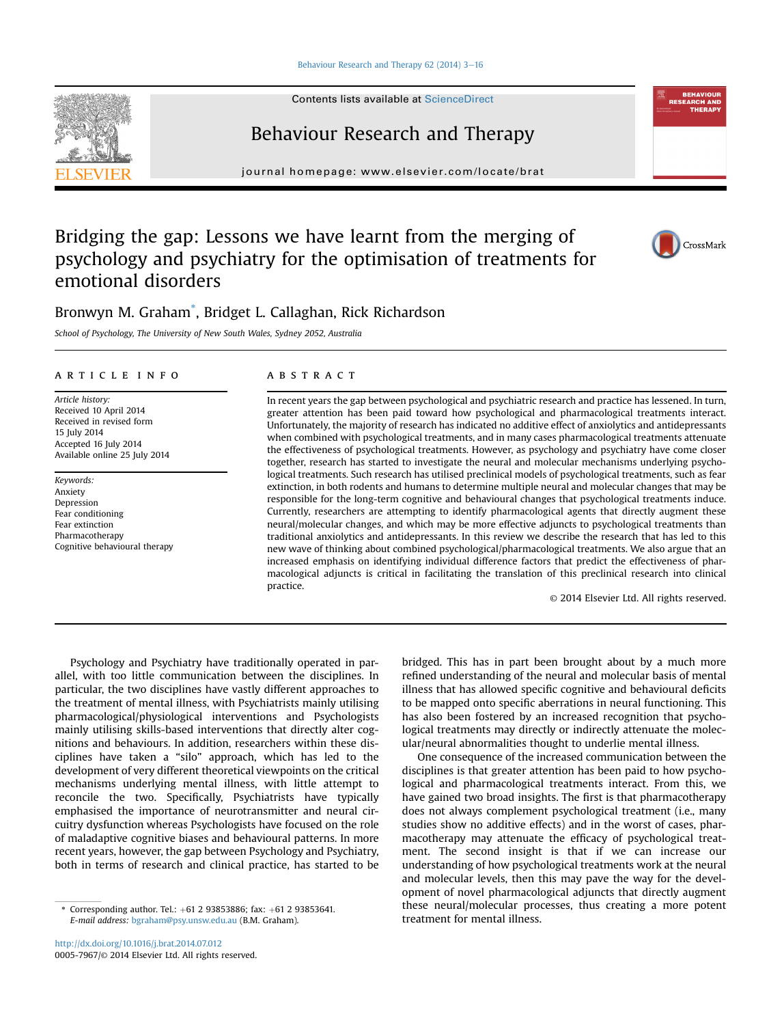#### Behaviour Research and Therapy  $62$  (2014) 3-[16](http://dx.doi.org/10.1016/j.brat.2014.07.012)



# Behaviour Research and Therapy

journal homepage: [www.elsevier.com/locate/brat](http://www.elsevier.com/locate/brat)

# Bridging the gap: Lessons we have learnt from the merging of psychology and psychiatry for the optimisation of treatments for emotional disorders



## Bronwyn M. Graham\* , Bridget L. Callaghan, Rick Richardson

School of Psychology, The University of New South Wales, Sydney 2052, Australia

### article info

Article history: Received 10 April 2014 Received in revised form 15 July 2014 Accepted 16 July 2014 Available online 25 July 2014

Keywords: Anxiety Depression Fear conditioning Fear extinction Pharmacotherapy Cognitive behavioural therapy

## **ABSTRACT**

In recent years the gap between psychological and psychiatric research and practice has lessened. In turn, greater attention has been paid toward how psychological and pharmacological treatments interact. Unfortunately, the majority of research has indicated no additive effect of anxiolytics and antidepressants when combined with psychological treatments, and in many cases pharmacological treatments attenuate the effectiveness of psychological treatments. However, as psychology and psychiatry have come closer together, research has started to investigate the neural and molecular mechanisms underlying psychological treatments. Such research has utilised preclinical models of psychological treatments, such as fear extinction, in both rodents and humans to determine multiple neural and molecular changes that may be responsible for the long-term cognitive and behavioural changes that psychological treatments induce. Currently, researchers are attempting to identify pharmacological agents that directly augment these neural/molecular changes, and which may be more effective adjuncts to psychological treatments than traditional anxiolytics and antidepressants. In this review we describe the research that has led to this new wave of thinking about combined psychological/pharmacological treatments. We also argue that an increased emphasis on identifying individual difference factors that predict the effectiveness of pharmacological adjuncts is critical in facilitating the translation of this preclinical research into clinical practice.

© 2014 Elsevier Ltd. All rights reserved.

Psychology and Psychiatry have traditionally operated in parallel, with too little communication between the disciplines. In particular, the two disciplines have vastly different approaches to the treatment of mental illness, with Psychiatrists mainly utilising pharmacological/physiological interventions and Psychologists mainly utilising skills-based interventions that directly alter cognitions and behaviours. In addition, researchers within these disciplines have taken a "silo" approach, which has led to the development of very different theoretical viewpoints on the critical mechanisms underlying mental illness, with little attempt to reconcile the two. Specifically, Psychiatrists have typically emphasised the importance of neurotransmitter and neural circuitry dysfunction whereas Psychologists have focused on the role of maladaptive cognitive biases and behavioural patterns. In more recent years, however, the gap between Psychology and Psychiatry, both in terms of research and clinical practice, has started to be bridged. This has in part been brought about by a much more refined understanding of the neural and molecular basis of mental illness that has allowed specific cognitive and behavioural deficits to be mapped onto specific aberrations in neural functioning. This has also been fostered by an increased recognition that psychological treatments may directly or indirectly attenuate the molecular/neural abnormalities thought to underlie mental illness.

One consequence of the increased communication between the disciplines is that greater attention has been paid to how psychological and pharmacological treatments interact. From this, we have gained two broad insights. The first is that pharmacotherapy does not always complement psychological treatment (i.e., many studies show no additive effects) and in the worst of cases, pharmacotherapy may attenuate the efficacy of psychological treatment. The second insight is that if we can increase our understanding of how psychological treatments work at the neural and molecular levels, then this may pave the way for the development of novel pharmacological adjuncts that directly augment these neural/molecular processes, thus creating a more potent treatment for mental illness.

Corresponding author. Tel.:  $+61$  2 93853886; fax:  $+61$  2 93853641. E-mail address: [bgraham@psy.unsw.edu.au](mailto:bgraham@psy.unsw.edu.au) (B.M. Graham).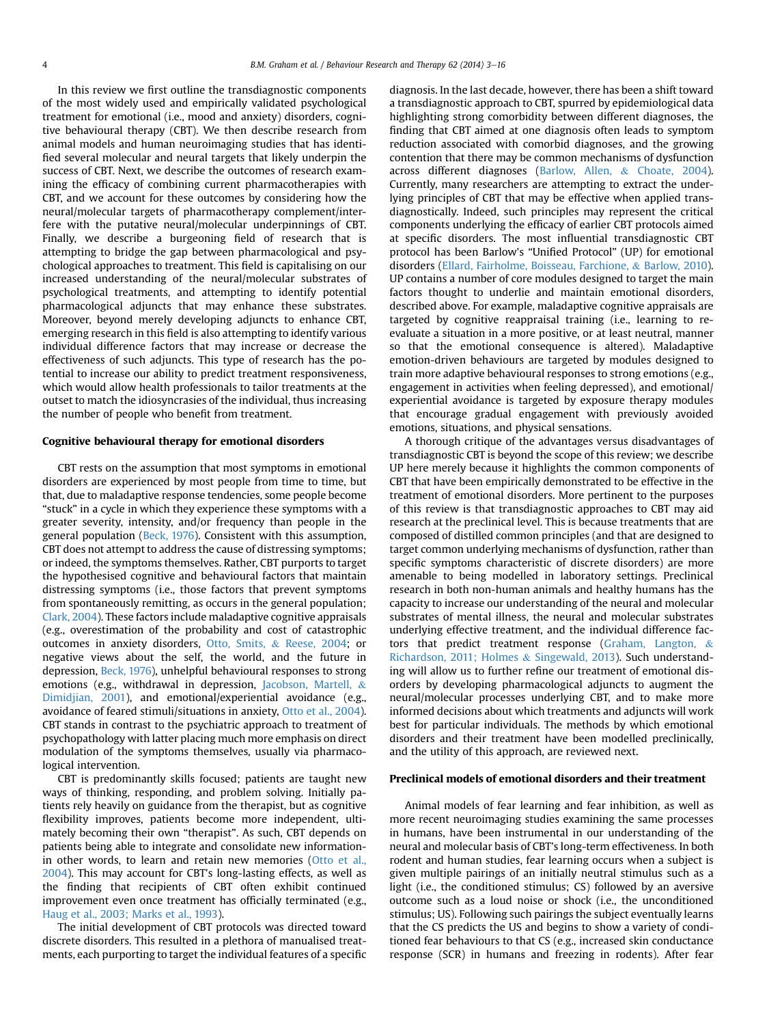In this review we first outline the transdiagnostic components of the most widely used and empirically validated psychological treatment for emotional (i.e., mood and anxiety) disorders, cognitive behavioural therapy (CBT). We then describe research from animal models and human neuroimaging studies that has identified several molecular and neural targets that likely underpin the success of CBT. Next, we describe the outcomes of research examining the efficacy of combining current pharmacotherapies with CBT, and we account for these outcomes by considering how the neural/molecular targets of pharmacotherapy complement/interfere with the putative neural/molecular underpinnings of CBT. Finally, we describe a burgeoning field of research that is attempting to bridge the gap between pharmacological and psychological approaches to treatment. This field is capitalising on our increased understanding of the neural/molecular substrates of psychological treatments, and attempting to identify potential pharmacological adjuncts that may enhance these substrates. Moreover, beyond merely developing adjuncts to enhance CBT, emerging research in this field is also attempting to identify various individual difference factors that may increase or decrease the effectiveness of such adjuncts. This type of research has the potential to increase our ability to predict treatment responsiveness, which would allow health professionals to tailor treatments at the outset to match the idiosyncrasies of the individual, thus increasing the number of people who benefit from treatment.

## Cognitive behavioural therapy for emotional disorders

CBT rests on the assumption that most symptoms in emotional disorders are experienced by most people from time to time, but that, due to maladaptive response tendencies, some people become "stuck" in a cycle in which they experience these symptoms with a greater severity, intensity, and/or frequency than people in the general population ([Beck, 1976\)](#page-11-0). Consistent with this assumption, CBT does not attempt to address the cause of distressing symptoms; or indeed, the symptoms themselves. Rather, CBT purports to target the hypothesised cognitive and behavioural factors that maintain distressing symptoms (i.e., those factors that prevent symptoms from spontaneously remitting, as occurs in the general population; [Clark, 2004](#page-11-0)). These factors include maladaptive cognitive appraisals (e.g., overestimation of the probability and cost of catastrophic outcomes in anxiety disorders, [Otto, Smits,](#page-12-0) & [Reese, 2004](#page-12-0); or negative views about the self, the world, and the future in depression, [Beck, 1976](#page-11-0)), unhelpful behavioural responses to strong emotions (e.g., withdrawal in depression, [Jacobson, Martell,](#page-12-0) & [Dimidjian, 2001](#page-12-0)), and emotional/experiential avoidance (e.g., avoidance of feared stimuli/situations in anxiety, [Otto et al., 2004\)](#page-12-0). CBT stands in contrast to the psychiatric approach to treatment of psychopathology with latter placing much more emphasis on direct modulation of the symptoms themselves, usually via pharmacological intervention.

CBT is predominantly skills focused; patients are taught new ways of thinking, responding, and problem solving. Initially patients rely heavily on guidance from the therapist, but as cognitive flexibility improves, patients become more independent, ultimately becoming their own "therapist". As such, CBT depends on patients being able to integrate and consolidate new informationin other words, to learn and retain new memories ([Otto et al.,](#page-12-0) [2004](#page-12-0)). This may account for CBT's long-lasting effects, as well as the finding that recipients of CBT often exhibit continued improvement even once treatment has officially terminated (e.g., [Haug et al., 2003; Marks et al., 1993\)](#page-11-0).

The initial development of CBT protocols was directed toward discrete disorders. This resulted in a plethora of manualised treatments, each purporting to target the individual features of a specific diagnosis. In the last decade, however, there has been a shift toward a transdiagnostic approach to CBT, spurred by epidemiological data highlighting strong comorbidity between different diagnoses, the finding that CBT aimed at one diagnosis often leads to symptom reduction associated with comorbid diagnoses, and the growing contention that there may be common mechanisms of dysfunction across different diagnoses [\(Barlow, Allen,](#page-11-0) & [Choate, 2004\)](#page-11-0). Currently, many researchers are attempting to extract the underlying principles of CBT that may be effective when applied transdiagnostically. Indeed, such principles may represent the critical components underlying the efficacy of earlier CBT protocols aimed at specific disorders. The most influential transdiagnostic CBT protocol has been Barlow's "Unified Protocol" (UP) for emotional disorders ([Ellard, Fairholme, Boisseau, Farchione,](#page-11-0) & [Barlow, 2010\)](#page-11-0). UP contains a number of core modules designed to target the main factors thought to underlie and maintain emotional disorders, described above. For example, maladaptive cognitive appraisals are targeted by cognitive reappraisal training (i.e., learning to reevaluate a situation in a more positive, or at least neutral, manner so that the emotional consequence is altered). Maladaptive emotion-driven behaviours are targeted by modules designed to train more adaptive behavioural responses to strong emotions (e.g., engagement in activities when feeling depressed), and emotional/ experiential avoidance is targeted by exposure therapy modules that encourage gradual engagement with previously avoided emotions, situations, and physical sensations.

A thorough critique of the advantages versus disadvantages of transdiagnostic CBT is beyond the scope of this review; we describe UP here merely because it highlights the common components of CBT that have been empirically demonstrated to be effective in the treatment of emotional disorders. More pertinent to the purposes of this review is that transdiagnostic approaches to CBT may aid research at the preclinical level. This is because treatments that are composed of distilled common principles (and that are designed to target common underlying mechanisms of dysfunction, rather than specific symptoms characteristic of discrete disorders) are more amenable to being modelled in laboratory settings. Preclinical research in both non-human animals and healthy humans has the capacity to increase our understanding of the neural and molecular substrates of mental illness, the neural and molecular substrates underlying effective treatment, and the individual difference factors that predict treatment response [\(Graham, Langton,](#page-11-0) & [Richardson, 2011; Holmes](#page-11-0) & [Singewald, 2013\)](#page-11-0). Such understanding will allow us to further refine our treatment of emotional disorders by developing pharmacological adjuncts to augment the neural/molecular processes underlying CBT, and to make more informed decisions about which treatments and adjuncts will work best for particular individuals. The methods by which emotional disorders and their treatment have been modelled preclinically, and the utility of this approach, are reviewed next.

## Preclinical models of emotional disorders and their treatment

Animal models of fear learning and fear inhibition, as well as more recent neuroimaging studies examining the same processes in humans, have been instrumental in our understanding of the neural and molecular basis of CBT's long-term effectiveness. In both rodent and human studies, fear learning occurs when a subject is given multiple pairings of an initially neutral stimulus such as a light (i.e., the conditioned stimulus; CS) followed by an aversive outcome such as a loud noise or shock (i.e., the unconditioned stimulus; US). Following such pairings the subject eventually learns that the CS predicts the US and begins to show a variety of conditioned fear behaviours to that CS (e.g., increased skin conductance response (SCR) in humans and freezing in rodents). After fear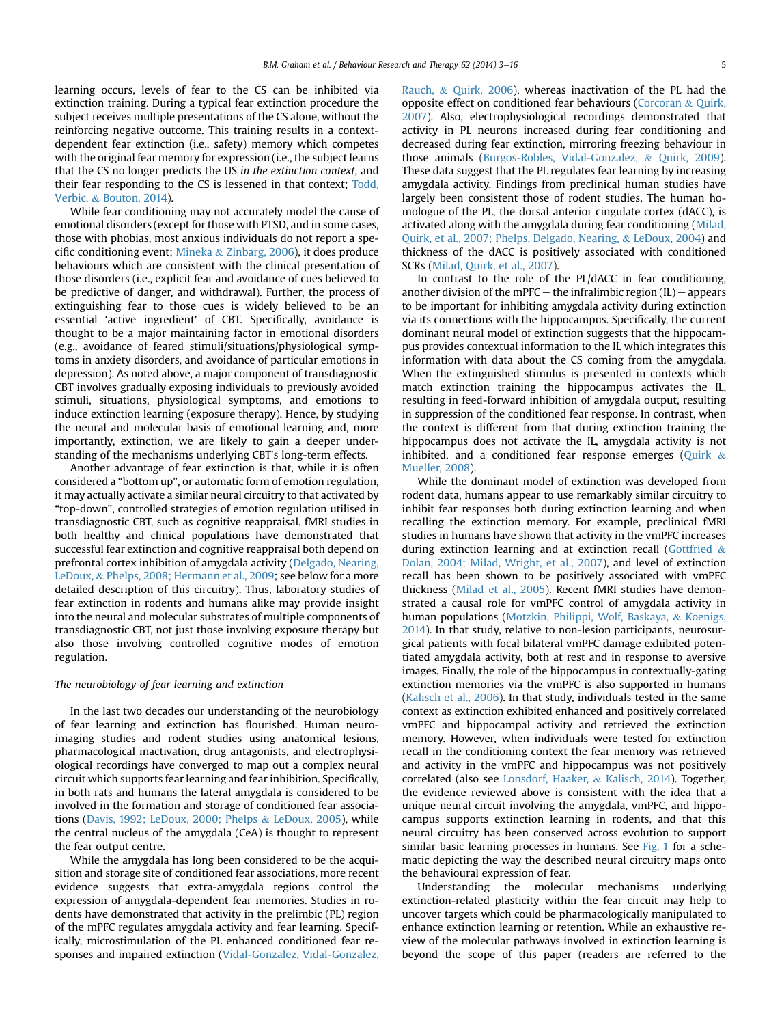learning occurs, levels of fear to the CS can be inhibited via extinction training. During a typical fear extinction procedure the subject receives multiple presentations of the CS alone, without the reinforcing negative outcome. This training results in a contextdependent fear extinction (i.e., safety) memory which competes with the original fear memory for expression (i.e., the subject learns that the CS no longer predicts the US in the extinction context, and their fear responding to the CS is lessened in that context; [Todd,](#page-13-0) [Verbic,](#page-13-0) & [Bouton, 2014\)](#page-13-0).

While fear conditioning may not accurately model the cause of emotional disorders (except for those with PTSD, and in some cases, those with phobias, most anxious individuals do not report a specific conditioning event; [Mineka](#page-12-0) & [Zinbarg, 2006\)](#page-12-0), it does produce behaviours which are consistent with the clinical presentation of those disorders (i.e., explicit fear and avoidance of cues believed to be predictive of danger, and withdrawal). Further, the process of extinguishing fear to those cues is widely believed to be an essential 'active ingredient' of CBT. Specifically, avoidance is thought to be a major maintaining factor in emotional disorders (e.g., avoidance of feared stimuli/situations/physiological symptoms in anxiety disorders, and avoidance of particular emotions in depression). As noted above, a major component of transdiagnostic CBT involves gradually exposing individuals to previously avoided stimuli, situations, physiological symptoms, and emotions to induce extinction learning (exposure therapy). Hence, by studying the neural and molecular basis of emotional learning and, more importantly, extinction, we are likely to gain a deeper understanding of the mechanisms underlying CBT's long-term effects.

Another advantage of fear extinction is that, while it is often considered a "bottom up", or automatic form of emotion regulation, it may actually activate a similar neural circuitry to that activated by "top-down", controlled strategies of emotion regulation utilised in transdiagnostic CBT, such as cognitive reappraisal. fMRI studies in both healthy and clinical populations have demonstrated that successful fear extinction and cognitive reappraisal both depend on prefrontal cortex inhibition of amygdala activity [\(Delgado, Nearing,](#page-11-0) [LeDoux,](#page-11-0) & [Phelps, 2008; Hermann et al., 2009](#page-11-0); see below for a more detailed description of this circuitry). Thus, laboratory studies of fear extinction in rodents and humans alike may provide insight into the neural and molecular substrates of multiple components of transdiagnostic CBT, not just those involving exposure therapy but also those involving controlled cognitive modes of emotion regulation.

## The neurobiology of fear learning and extinction

In the last two decades our understanding of the neurobiology of fear learning and extinction has flourished. Human neuroimaging studies and rodent studies using anatomical lesions, pharmacological inactivation, drug antagonists, and electrophysiological recordings have converged to map out a complex neural circuit which supports fear learning and fear inhibition. Specifically, in both rats and humans the lateral amygdala is considered to be involved in the formation and storage of conditioned fear associations [\(Davis, 1992; LeDoux, 2000; Phelps](#page-11-0) & [LeDoux, 2005](#page-11-0)), while the central nucleus of the amygdala (CeA) is thought to represent the fear output centre.

While the amygdala has long been considered to be the acquisition and storage site of conditioned fear associations, more recent evidence suggests that extra-amygdala regions control the expression of amygdala-dependent fear memories. Studies in rodents have demonstrated that activity in the prelimbic (PL) region of the mPFC regulates amygdala activity and fear learning. Specifically, microstimulation of the PL enhanced conditioned fear responses and impaired extinction ([Vidal-Gonzalez, Vidal-Gonzalez,](#page-13-0) [Rauch,](#page-13-0) & [Quirk, 2006\)](#page-13-0), whereas inactivation of the PL had the opposite effect on conditioned fear behaviours [\(Corcoran](#page-11-0) & [Quirk,](#page-11-0) [2007\)](#page-11-0). Also, electrophysiological recordings demonstrated that activity in PL neurons increased during fear conditioning and decreased during fear extinction, mirroring freezing behaviour in those animals [\(Burgos-Robles, Vidal-Gonzalez,](#page-11-0) & [Quirk, 2009\)](#page-11-0). These data suggest that the PL regulates fear learning by increasing amygdala activity. Findings from preclinical human studies have largely been consistent those of rodent studies. The human homologue of the PL, the dorsal anterior cingulate cortex (dACC), is activated along with the amygdala during fear conditioning [\(Milad,](#page-12-0) [Quirk, et al., 2007; Phelps, Delgado, Nearing,](#page-12-0) & [LeDoux, 2004](#page-12-0)) and thickness of the dACC is positively associated with conditioned SCRs ([Milad, Quirk, et al., 2007](#page-12-0)).

In contrast to the role of the PL/dACC in fear conditioning, another division of the mPFC  $-$  the infralimbic region  $(IL)$   $-$  appears to be important for inhibiting amygdala activity during extinction via its connections with the hippocampus. Specifically, the current dominant neural model of extinction suggests that the hippocampus provides contextual information to the IL which integrates this information with data about the CS coming from the amygdala. When the extinguished stimulus is presented in contexts which match extinction training the hippocampus activates the IL, resulting in feed-forward inhibition of amygdala output, resulting in suppression of the conditioned fear response. In contrast, when the context is different from that during extinction training the hippocampus does not activate the IL, amygdala activity is not inhibited, and a conditioned fear response emerges [\(Quirk](#page-12-0)  $\&$ [Mueller, 2008](#page-12-0)).

While the dominant model of extinction was developed from rodent data, humans appear to use remarkably similar circuitry to inhibit fear responses both during extinction learning and when recalling the extinction memory. For example, preclinical fMRI studies in humans have shown that activity in the vmPFC increases during extinction learning and at extinction recall ([Gottfried](#page-11-0)  $\&$ [Dolan, 2004; Milad, Wright, et al., 2007\)](#page-11-0), and level of extinction recall has been shown to be positively associated with vmPFC thickness [\(Milad et al., 2005](#page-12-0)). Recent fMRI studies have demonstrated a causal role for vmPFC control of amygdala activity in human populations [\(Motzkin, Philippi, Wolf, Baskaya,](#page-12-0) & [Koenigs,](#page-12-0) [2014\)](#page-12-0). In that study, relative to non-lesion participants, neurosurgical patients with focal bilateral vmPFC damage exhibited potentiated amygdala activity, both at rest and in response to aversive images. Finally, the role of the hippocampus in contextually-gating extinction memories via the vmPFC is also supported in humans ([Kalisch et al., 2006\)](#page-12-0). In that study, individuals tested in the same context as extinction exhibited enhanced and positively correlated vmPFC and hippocampal activity and retrieved the extinction memory. However, when individuals were tested for extinction recall in the conditioning context the fear memory was retrieved and activity in the vmPFC and hippocampus was not positively correlated (also see [Lonsdorf, Haaker,](#page-12-0) & [Kalisch, 2014\)](#page-12-0). Together, the evidence reviewed above is consistent with the idea that a unique neural circuit involving the amygdala, vmPFC, and hippocampus supports extinction learning in rodents, and that this neural circuitry has been conserved across evolution to support similar basic learning processes in humans. See [Fig. 1](#page-3-0) for a schematic depicting the way the described neural circuitry maps onto the behavioural expression of fear.

Understanding the molecular mechanisms underlying extinction-related plasticity within the fear circuit may help to uncover targets which could be pharmacologically manipulated to enhance extinction learning or retention. While an exhaustive review of the molecular pathways involved in extinction learning is beyond the scope of this paper (readers are referred to the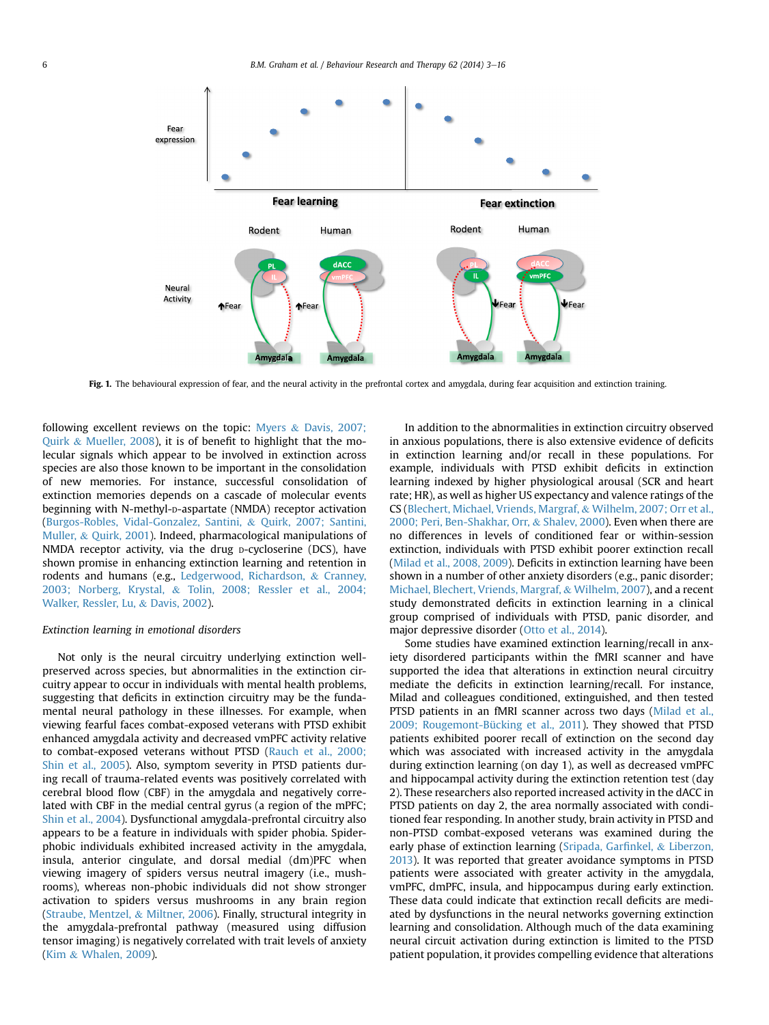<span id="page-3-0"></span>

Fig. 1. The behavioural expression of fear, and the neural activity in the prefrontal cortex and amygdala, during fear acquisition and extinction training.

following excellent reviews on the topic: [Myers](#page-12-0) & [Davis, 2007;](#page-12-0) [Quirk](#page-12-0) & [Mueller, 2008\)](#page-12-0), it is of benefit to highlight that the molecular signals which appear to be involved in extinction across species are also those known to be important in the consolidation of new memories. For instance, successful consolidation of extinction memories depends on a cascade of molecular events beginning with N-methyl-p-aspartate (NMDA) receptor activation ([Burgos-Robles, Vidal-Gonzalez, Santini,](#page-11-0) & [Quirk, 2007; Santini,](#page-11-0) [Muller,](#page-11-0) & [Quirk, 2001\)](#page-11-0). Indeed, pharmacological manipulations of NMDA receptor activity, via the drug  $D$ -cycloserine (DCS), have shown promise in enhancing extinction learning and retention in rodents and humans (e.g., [Ledgerwood, Richardson,](#page-12-0) & [Cranney,](#page-12-0) [2003; Norberg, Krystal,](#page-12-0) & [Tolin, 2008; Ressler et al., 2004;](#page-12-0) [Walker, Ressler, Lu,](#page-12-0) & [Davis, 2002\)](#page-12-0).

## Extinction learning in emotional disorders

Not only is the neural circuitry underlying extinction wellpreserved across species, but abnormalities in the extinction circuitry appear to occur in individuals with mental health problems, suggesting that deficits in extinction circuitry may be the fundamental neural pathology in these illnesses. For example, when viewing fearful faces combat-exposed veterans with PTSD exhibit enhanced amygdala activity and decreased vmPFC activity relative to combat-exposed veterans without PTSD [\(Rauch et al., 2000;](#page-12-0) [Shin et al., 2005](#page-12-0)). Also, symptom severity in PTSD patients during recall of trauma-related events was positively correlated with cerebral blood flow (CBF) in the amygdala and negatively correlated with CBF in the medial central gyrus (a region of the mPFC; [Shin et al., 2004\)](#page-13-0). Dysfunctional amygdala-prefrontal circuitry also appears to be a feature in individuals with spider phobia. Spiderphobic individuals exhibited increased activity in the amygdala, insula, anterior cingulate, and dorsal medial (dm)PFC when viewing imagery of spiders versus neutral imagery (i.e., mushrooms), whereas non-phobic individuals did not show stronger activation to spiders versus mushrooms in any brain region ([Straube, Mentzel,](#page-13-0) & [Miltner, 2006](#page-13-0)). Finally, structural integrity in the amygdala-prefrontal pathway (measured using diffusion tensor imaging) is negatively correlated with trait levels of anxiety ([Kim](#page-12-0) & [Whalen, 2009\)](#page-12-0).

In addition to the abnormalities in extinction circuitry observed in anxious populations, there is also extensive evidence of deficits in extinction learning and/or recall in these populations. For example, individuals with PTSD exhibit deficits in extinction learning indexed by higher physiological arousal (SCR and heart rate; HR), as well as higher US expectancy and valence ratings of the CS ([Blechert, Michael, Vriends, Margraf,](#page-11-0) & [Wilhelm, 2007; Orr et al.,](#page-11-0) [2000; Peri, Ben-Shakhar, Orr,](#page-11-0) & [Shalev, 2000\)](#page-11-0). Even when there are no differences in levels of conditioned fear or within-session extinction, individuals with PTSD exhibit poorer extinction recall ([Milad et al., 2008, 2009\)](#page-12-0). Deficits in extinction learning have been shown in a number of other anxiety disorders (e.g., panic disorder; [Michael, Blechert, Vriends, Margraf,](#page-12-0) & [Wilhelm, 2007](#page-12-0)), and a recent study demonstrated deficits in extinction learning in a clinical group comprised of individuals with PTSD, panic disorder, and major depressive disorder ([Otto et al., 2014\)](#page-12-0).

Some studies have examined extinction learning/recall in anxiety disordered participants within the fMRI scanner and have supported the idea that alterations in extinction neural circuitry mediate the deficits in extinction learning/recall. For instance, Milad and colleagues conditioned, extinguished, and then tested PTSD patients in an fMRI scanner across two days [\(Milad et al.,](#page-12-0) [2009; Rougemont-Bücking et al., 2011](#page-12-0)). They showed that PTSD patients exhibited poorer recall of extinction on the second day which was associated with increased activity in the amygdala during extinction learning (on day 1), as well as decreased vmPFC and hippocampal activity during the extinction retention test (day 2). These researchers also reported increased activity in the dACC in PTSD patients on day 2, the area normally associated with conditioned fear responding. In another study, brain activity in PTSD and non-PTSD combat-exposed veterans was examined during the early phase of extinction learning [\(Sripada, Gar](#page-13-0)finkel, & [Liberzon,](#page-13-0) [2013\)](#page-13-0). It was reported that greater avoidance symptoms in PTSD patients were associated with greater activity in the amygdala, vmPFC, dmPFC, insula, and hippocampus during early extinction. These data could indicate that extinction recall deficits are mediated by dysfunctions in the neural networks governing extinction learning and consolidation. Although much of the data examining neural circuit activation during extinction is limited to the PTSD patient population, it provides compelling evidence that alterations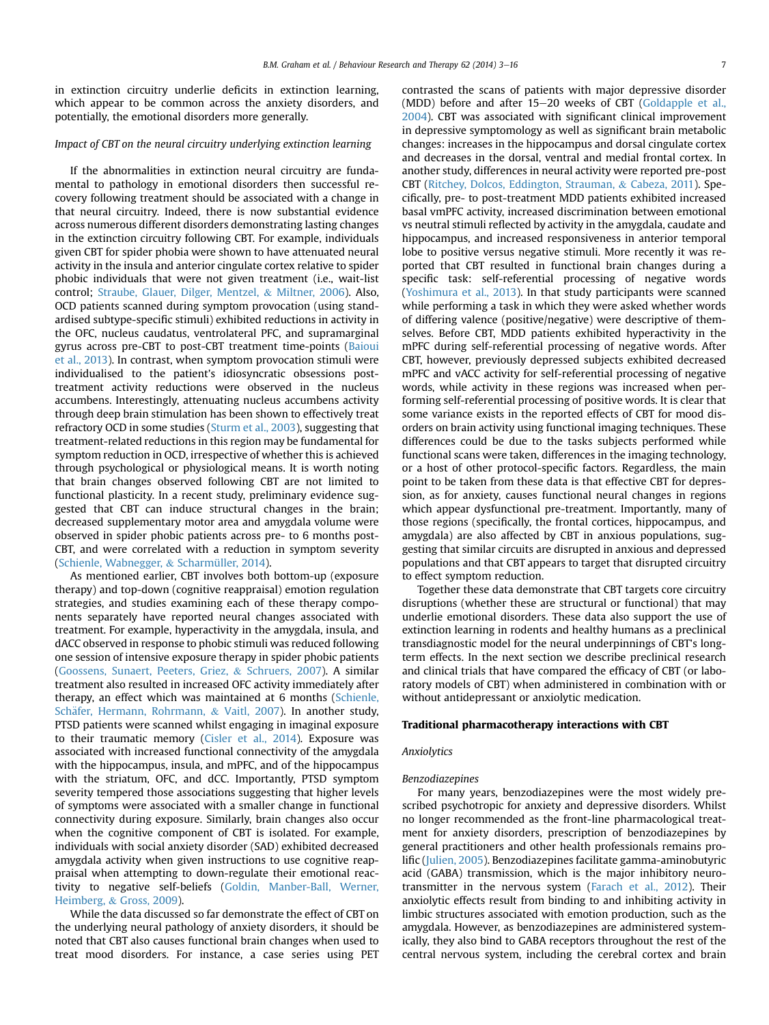in extinction circuitry underlie deficits in extinction learning, which appear to be common across the anxiety disorders, and potentially, the emotional disorders more generally.

## Impact of CBT on the neural circuitry underlying extinction learning

If the abnormalities in extinction neural circuitry are fundamental to pathology in emotional disorders then successful recovery following treatment should be associated with a change in that neural circuitry. Indeed, there is now substantial evidence across numerous different disorders demonstrating lasting changes in the extinction circuitry following CBT. For example, individuals given CBT for spider phobia were shown to have attenuated neural activity in the insula and anterior cingulate cortex relative to spider phobic individuals that were not given treatment (i.e., wait-list control; [Straube, Glauer, Dilger, Mentzel,](#page-13-0) & [Miltner, 2006](#page-13-0)). Also, OCD patients scanned during symptom provocation (using standardised subtype-specific stimuli) exhibited reductions in activity in the OFC, nucleus caudatus, ventrolateral PFC, and supramarginal gyrus across pre-CBT to post-CBT treatment time-points [\(Baioui](#page-11-0) [et al., 2013\)](#page-11-0). In contrast, when symptom provocation stimuli were individualised to the patient's idiosyncratic obsessions posttreatment activity reductions were observed in the nucleus accumbens. Interestingly, attenuating nucleus accumbens activity through deep brain stimulation has been shown to effectively treat refractory OCD in some studies [\(Sturm et al., 2003](#page-13-0)), suggesting that treatment-related reductions in this region may be fundamental for symptom reduction in OCD, irrespective of whether this is achieved through psychological or physiological means. It is worth noting that brain changes observed following CBT are not limited to functional plasticity. In a recent study, preliminary evidence suggested that CBT can induce structural changes in the brain; decreased supplementary motor area and amygdala volume were observed in spider phobic patients across pre- to 6 months post-CBT, and were correlated with a reduction in symptom severity ([Schienle, Wabnegger,](#page-12-0) & [Scharmüller, 2014\)](#page-12-0).

As mentioned earlier, CBT involves both bottom-up (exposure therapy) and top-down (cognitive reappraisal) emotion regulation strategies, and studies examining each of these therapy components separately have reported neural changes associated with treatment. For example, hyperactivity in the amygdala, insula, and dACC observed in response to phobic stimuli was reduced following one session of intensive exposure therapy in spider phobic patients ([Goossens, Sunaert, Peeters, Griez,](#page-11-0) & [Schruers, 2007](#page-11-0)). A similar treatment also resulted in increased OFC activity immediately after therapy, an effect which was maintained at 6 months ([Schienle,](#page-12-0) [Sch](#page-12-0)ä[fer, Hermann, Rohrmann,](#page-12-0) & [Vaitl, 2007\)](#page-12-0). In another study, PTSD patients were scanned whilst engaging in imaginal exposure to their traumatic memory ([Cisler et al., 2014\)](#page-11-0). Exposure was associated with increased functional connectivity of the amygdala with the hippocampus, insula, and mPFC, and of the hippocampus with the striatum, OFC, and dCC. Importantly, PTSD symptom severity tempered those associations suggesting that higher levels of symptoms were associated with a smaller change in functional connectivity during exposure. Similarly, brain changes also occur when the cognitive component of CBT is isolated. For example, individuals with social anxiety disorder (SAD) exhibited decreased amygdala activity when given instructions to use cognitive reappraisal when attempting to down-regulate their emotional reactivity to negative self-beliefs [\(Goldin, Manber-Ball, Werner,](#page-11-0) [Heimberg,](#page-11-0) & [Gross, 2009\)](#page-11-0).

While the data discussed so far demonstrate the effect of CBT on the underlying neural pathology of anxiety disorders, it should be noted that CBT also causes functional brain changes when used to treat mood disorders. For instance, a case series using PET contrasted the scans of patients with major depressive disorder (MDD) before and after  $15-20$  weeks of CBT [\(Goldapple et al.,](#page-11-0) [2004\)](#page-11-0). CBT was associated with significant clinical improvement in depressive symptomology as well as significant brain metabolic changes: increases in the hippocampus and dorsal cingulate cortex and decreases in the dorsal, ventral and medial frontal cortex. In another study, differences in neural activity were reported pre-post CBT ([Ritchey, Dolcos, Eddington, Strauman,](#page-12-0) & [Cabeza, 2011\)](#page-12-0). Specifically, pre- to post-treatment MDD patients exhibited increased basal vmPFC activity, increased discrimination between emotional vs neutral stimuli reflected by activity in the amygdala, caudate and hippocampus, and increased responsiveness in anterior temporal lobe to positive versus negative stimuli. More recently it was reported that CBT resulted in functional brain changes during a specific task: self-referential processing of negative words ([Yoshimura et al., 2013](#page-13-0)). In that study participants were scanned while performing a task in which they were asked whether words of differing valence (positive/negative) were descriptive of themselves. Before CBT, MDD patients exhibited hyperactivity in the mPFC during self-referential processing of negative words. After CBT, however, previously depressed subjects exhibited decreased mPFC and vACC activity for self-referential processing of negative words, while activity in these regions was increased when performing self-referential processing of positive words. It is clear that some variance exists in the reported effects of CBT for mood disorders on brain activity using functional imaging techniques. These differences could be due to the tasks subjects performed while functional scans were taken, differences in the imaging technology, or a host of other protocol-specific factors. Regardless, the main point to be taken from these data is that effective CBT for depression, as for anxiety, causes functional neural changes in regions which appear dysfunctional pre-treatment. Importantly, many of those regions (specifically, the frontal cortices, hippocampus, and amygdala) are also affected by CBT in anxious populations, suggesting that similar circuits are disrupted in anxious and depressed populations and that CBT appears to target that disrupted circuitry to effect symptom reduction.

Together these data demonstrate that CBT targets core circuitry disruptions (whether these are structural or functional) that may underlie emotional disorders. These data also support the use of extinction learning in rodents and healthy humans as a preclinical transdiagnostic model for the neural underpinnings of CBT's longterm effects. In the next section we describe preclinical research and clinical trials that have compared the efficacy of CBT (or laboratory models of CBT) when administered in combination with or without antidepressant or anxiolytic medication.

## Traditional pharmacotherapy interactions with CBT

#### Anxiolytics

#### Benzodiazepines

For many years, benzodiazepines were the most widely prescribed psychotropic for anxiety and depressive disorders. Whilst no longer recommended as the front-line pharmacological treatment for anxiety disorders, prescription of benzodiazepines by general practitioners and other health professionals remains prolific [\(Julien, 2005\)](#page-12-0). Benzodiazepines facilitate gamma-aminobutyric acid (GABA) transmission, which is the major inhibitory neurotransmitter in the nervous system ([Farach et al., 2012](#page-11-0)). Their anxiolytic effects result from binding to and inhibiting activity in limbic structures associated with emotion production, such as the amygdala. However, as benzodiazepines are administered systemically, they also bind to GABA receptors throughout the rest of the central nervous system, including the cerebral cortex and brain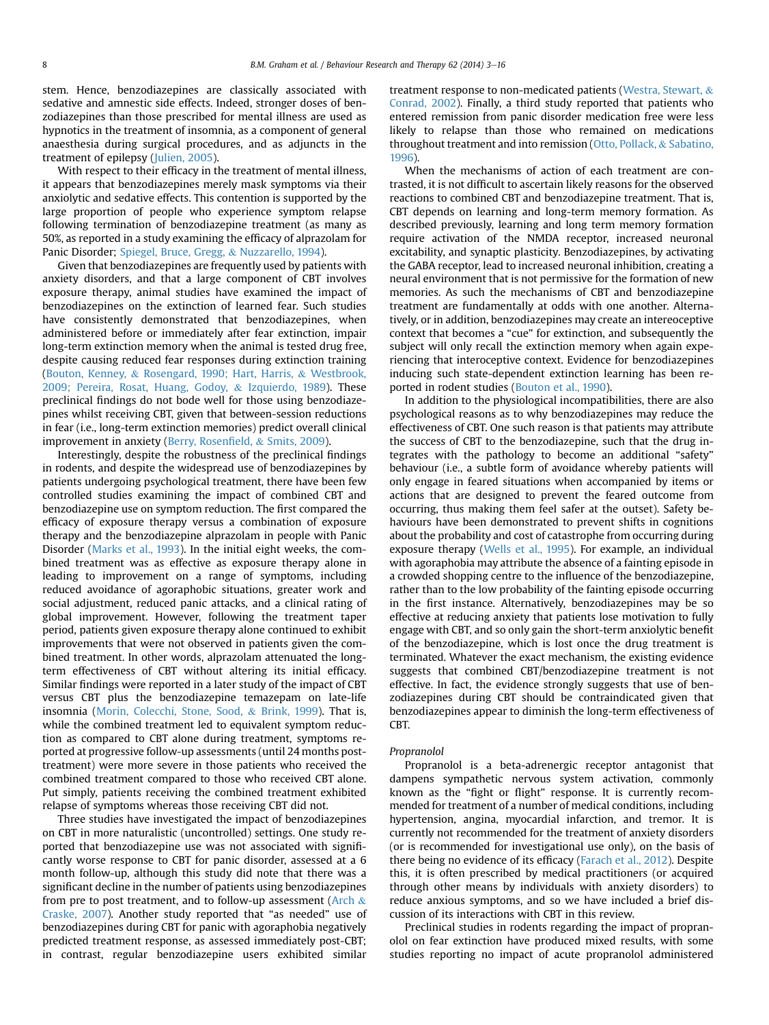stem. Hence, benzodiazepines are classically associated with sedative and amnestic side effects. Indeed, stronger doses of benzodiazepines than those prescribed for mental illness are used as hypnotics in the treatment of insomnia, as a component of general anaesthesia during surgical procedures, and as adjuncts in the treatment of epilepsy ([Julien, 2005\)](#page-12-0).

With respect to their efficacy in the treatment of mental illness, it appears that benzodiazepines merely mask symptoms via their anxiolytic and sedative effects. This contention is supported by the large proportion of people who experience symptom relapse following termination of benzodiazepine treatment (as many as 50%, as reported in a study examining the efficacy of alprazolam for Panic Disorder; [Spiegel, Bruce, Gregg,](#page-13-0) & [Nuzzarello, 1994](#page-13-0)).

Given that benzodiazepines are frequently used by patients with anxiety disorders, and that a large component of CBT involves exposure therapy, animal studies have examined the impact of benzodiazepines on the extinction of learned fear. Such studies have consistently demonstrated that benzodiazepines, when administered before or immediately after fear extinction, impair long-term extinction memory when the animal is tested drug free, despite causing reduced fear responses during extinction training ([Bouton, Kenney,](#page-11-0) & [Rosengard, 1990; Hart, Harris,](#page-11-0) & [Westbrook,](#page-11-0) [2009; Pereira, Rosat, Huang, Godoy,](#page-11-0) & [Izquierdo, 1989\)](#page-11-0). These preclinical findings do not bode well for those using benzodiazepines whilst receiving CBT, given that between-session reductions in fear (i.e., long-term extinction memories) predict overall clinical improvement in anxiety [\(Berry, Rosen](#page-11-0)field, & [Smits, 2009\)](#page-11-0).

Interestingly, despite the robustness of the preclinical findings in rodents, and despite the widespread use of benzodiazepines by patients undergoing psychological treatment, there have been few controlled studies examining the impact of combined CBT and benzodiazepine use on symptom reduction. The first compared the efficacy of exposure therapy versus a combination of exposure therapy and the benzodiazepine alprazolam in people with Panic Disorder [\(Marks et al., 1993](#page-12-0)). In the initial eight weeks, the combined treatment was as effective as exposure therapy alone in leading to improvement on a range of symptoms, including reduced avoidance of agoraphobic situations, greater work and social adjustment, reduced panic attacks, and a clinical rating of global improvement. However, following the treatment taper period, patients given exposure therapy alone continued to exhibit improvements that were not observed in patients given the combined treatment. In other words, alprazolam attenuated the longterm effectiveness of CBT without altering its initial efficacy. Similar findings were reported in a later study of the impact of CBT versus CBT plus the benzodiazepine temazepam on late-life insomnia ([Morin, Colecchi, Stone, Sood,](#page-12-0) & [Brink, 1999](#page-12-0)). That is, while the combined treatment led to equivalent symptom reduction as compared to CBT alone during treatment, symptoms reported at progressive follow-up assessments (until 24 months posttreatment) were more severe in those patients who received the combined treatment compared to those who received CBT alone. Put simply, patients receiving the combined treatment exhibited relapse of symptoms whereas those receiving CBT did not.

Three studies have investigated the impact of benzodiazepines on CBT in more naturalistic (uncontrolled) settings. One study reported that benzodiazepine use was not associated with significantly worse response to CBT for panic disorder, assessed at a 6 month follow-up, although this study did note that there was a significant decline in the number of patients using benzodiazepines from pre to post treatment, and to follow-up assessment [\(Arch](#page-11-0)  $\&$ [Craske, 2007\)](#page-11-0). Another study reported that "as needed" use of benzodiazepines during CBT for panic with agoraphobia negatively predicted treatment response, as assessed immediately post-CBT; in contrast, regular benzodiazepine users exhibited similar treatment response to non-medicated patients ([Westra, Stewart,](#page-13-0) & [Conrad, 2002\)](#page-13-0). Finally, a third study reported that patients who entered remission from panic disorder medication free were less likely to relapse than those who remained on medications throughout treatment and into remission ([Otto, Pollack,](#page-12-0) & [Sabatino,](#page-12-0) [1996](#page-12-0)).

When the mechanisms of action of each treatment are contrasted, it is not difficult to ascertain likely reasons for the observed reactions to combined CBT and benzodiazepine treatment. That is, CBT depends on learning and long-term memory formation. As described previously, learning and long term memory formation require activation of the NMDA receptor, increased neuronal excitability, and synaptic plasticity. Benzodiazepines, by activating the GABA receptor, lead to increased neuronal inhibition, creating a neural environment that is not permissive for the formation of new memories. As such the mechanisms of CBT and benzodiazepine treatment are fundamentally at odds with one another. Alternatively, or in addition, benzodiazepines may create an intereoceptive context that becomes a "cue" for extinction, and subsequently the subject will only recall the extinction memory when again experiencing that interoceptive context. Evidence for benzodiazepines inducing such state-dependent extinction learning has been reported in rodent studies [\(Bouton et al., 1990](#page-11-0)).

In addition to the physiological incompatibilities, there are also psychological reasons as to why benzodiazepines may reduce the effectiveness of CBT. One such reason is that patients may attribute the success of CBT to the benzodiazepine, such that the drug integrates with the pathology to become an additional "safety" behaviour (i.e., a subtle form of avoidance whereby patients will only engage in feared situations when accompanied by items or actions that are designed to prevent the feared outcome from occurring, thus making them feel safer at the outset). Safety behaviours have been demonstrated to prevent shifts in cognitions about the probability and cost of catastrophe from occurring during exposure therapy ([Wells et al., 1995](#page-13-0)). For example, an individual with agoraphobia may attribute the absence of a fainting episode in a crowded shopping centre to the influence of the benzodiazepine, rather than to the low probability of the fainting episode occurring in the first instance. Alternatively, benzodiazepines may be so effective at reducing anxiety that patients lose motivation to fully engage with CBT, and so only gain the short-term anxiolytic benefit of the benzodiazepine, which is lost once the drug treatment is terminated. Whatever the exact mechanism, the existing evidence suggests that combined CBT/benzodiazepine treatment is not effective. In fact, the evidence strongly suggests that use of benzodiazepines during CBT should be contraindicated given that benzodiazepines appear to diminish the long-term effectiveness of CBT.

#### Propranolol

Propranolol is a beta-adrenergic receptor antagonist that dampens sympathetic nervous system activation, commonly known as the "fight or flight" response. It is currently recommended for treatment of a number of medical conditions, including hypertension, angina, myocardial infarction, and tremor. It is currently not recommended for the treatment of anxiety disorders (or is recommended for investigational use only), on the basis of there being no evidence of its efficacy ([Farach et al., 2012](#page-11-0)). Despite this, it is often prescribed by medical practitioners (or acquired through other means by individuals with anxiety disorders) to reduce anxious symptoms, and so we have included a brief discussion of its interactions with CBT in this review.

Preclinical studies in rodents regarding the impact of propranolol on fear extinction have produced mixed results, with some studies reporting no impact of acute propranolol administered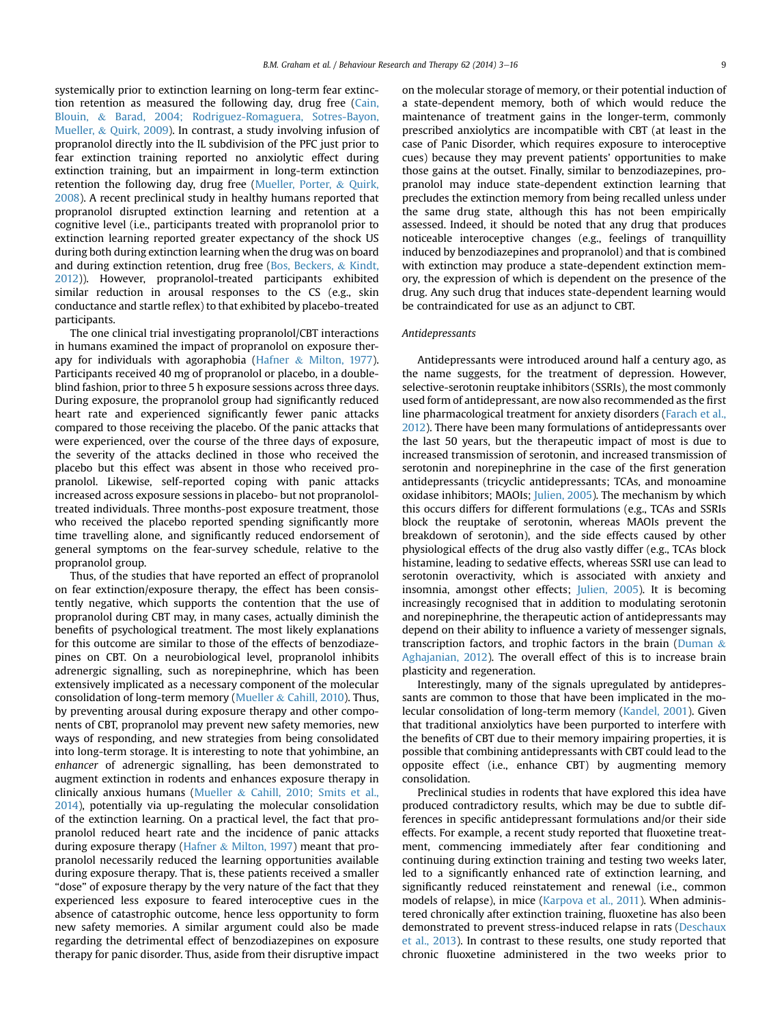systemically prior to extinction learning on long-term fear extinction retention as measured the following day, drug free [\(Cain,](#page-11-0) [Blouin,](#page-11-0) & [Barad, 2004; Rodriguez-Romaguera, Sotres-Bayon,](#page-11-0) [Mueller,](#page-11-0) & [Quirk, 2009\)](#page-11-0). In contrast, a study involving infusion of propranolol directly into the IL subdivision of the PFC just prior to fear extinction training reported no anxiolytic effect during extinction training, but an impairment in long-term extinction retention the following day, drug free ([Mueller, Porter,](#page-12-0) & Ouirk, [2008\)](#page-12-0). A recent preclinical study in healthy humans reported that propranolol disrupted extinction learning and retention at a cognitive level (i.e., participants treated with propranolol prior to extinction learning reported greater expectancy of the shock US during both during extinction learning when the drug was on board and during extinction retention, drug free ([Bos, Beckers,](#page-11-0) & [Kindt,](#page-11-0) [2012\)](#page-11-0)). However, propranolol-treated participants exhibited similar reduction in arousal responses to the CS (e.g., skin conductance and startle reflex) to that exhibited by placebo-treated participants.

The one clinical trial investigating propranolol/CBT interactions in humans examined the impact of propranolol on exposure therapy for individuals with agoraphobia [\(Hafner](#page-11-0) & [Milton, 1977\)](#page-11-0). Participants received 40 mg of propranolol or placebo, in a doubleblind fashion, prior to three 5 h exposure sessions across three days. During exposure, the propranolol group had significantly reduced heart rate and experienced significantly fewer panic attacks compared to those receiving the placebo. Of the panic attacks that were experienced, over the course of the three days of exposure, the severity of the attacks declined in those who received the placebo but this effect was absent in those who received propranolol. Likewise, self-reported coping with panic attacks increased across exposure sessions in placebo- but not propranololtreated individuals. Three months-post exposure treatment, those who received the placebo reported spending significantly more time travelling alone, and significantly reduced endorsement of general symptoms on the fear-survey schedule, relative to the propranolol group.

Thus, of the studies that have reported an effect of propranolol on fear extinction/exposure therapy, the effect has been consistently negative, which supports the contention that the use of propranolol during CBT may, in many cases, actually diminish the benefits of psychological treatment. The most likely explanations for this outcome are similar to those of the effects of benzodiazepines on CBT. On a neurobiological level, propranolol inhibits adrenergic signalling, such as norepinephrine, which has been extensively implicated as a necessary component of the molecular consolidation of long-term memory ([Mueller](#page-12-0) & [Cahill, 2010](#page-12-0)). Thus, by preventing arousal during exposure therapy and other components of CBT, propranolol may prevent new safety memories, new ways of responding, and new strategies from being consolidated into long-term storage. It is interesting to note that yohimbine, an enhancer of adrenergic signalling, has been demonstrated to augment extinction in rodents and enhances exposure therapy in clinically anxious humans ([Mueller](#page-12-0) & [Cahill, 2010; Smits et al.,](#page-12-0) [2014\)](#page-12-0), potentially via up-regulating the molecular consolidation of the extinction learning. On a practical level, the fact that propranolol reduced heart rate and the incidence of panic attacks during exposure therapy [\(Hafner](#page-11-0)  $&$  [Milton, 1997\)](#page-11-0) meant that propranolol necessarily reduced the learning opportunities available during exposure therapy. That is, these patients received a smaller "dose" of exposure therapy by the very nature of the fact that they experienced less exposure to feared interoceptive cues in the absence of catastrophic outcome, hence less opportunity to form new safety memories. A similar argument could also be made regarding the detrimental effect of benzodiazepines on exposure therapy for panic disorder. Thus, aside from their disruptive impact

on the molecular storage of memory, or their potential induction of a state-dependent memory, both of which would reduce the maintenance of treatment gains in the longer-term, commonly prescribed anxiolytics are incompatible with CBT (at least in the case of Panic Disorder, which requires exposure to interoceptive cues) because they may prevent patients' opportunities to make those gains at the outset. Finally, similar to benzodiazepines, propranolol may induce state-dependent extinction learning that precludes the extinction memory from being recalled unless under the same drug state, although this has not been empirically assessed. Indeed, it should be noted that any drug that produces noticeable interoceptive changes (e.g., feelings of tranquillity induced by benzodiazepines and propranolol) and that is combined with extinction may produce a state-dependent extinction memory, the expression of which is dependent on the presence of the drug. Any such drug that induces state-dependent learning would be contraindicated for use as an adjunct to CBT.

## Antidepressants

Antidepressants were introduced around half a century ago, as the name suggests, for the treatment of depression. However, selective-serotonin reuptake inhibitors (SSRIs), the most commonly used form of antidepressant, are now also recommended as the first line pharmacological treatment for anxiety disorders ([Farach et al.,](#page-11-0) [2012\)](#page-11-0). There have been many formulations of antidepressants over the last 50 years, but the therapeutic impact of most is due to increased transmission of serotonin, and increased transmission of serotonin and norepinephrine in the case of the first generation antidepressants (tricyclic antidepressants; TCAs, and monoamine oxidase inhibitors; MAOIs; [Julien, 2005\)](#page-12-0). The mechanism by which this occurs differs for different formulations (e.g., TCAs and SSRIs block the reuptake of serotonin, whereas MAOIs prevent the breakdown of serotonin), and the side effects caused by other physiological effects of the drug also vastly differ (e.g., TCAs block histamine, leading to sedative effects, whereas SSRI use can lead to serotonin overactivity, which is associated with anxiety and insomnia, amongst other effects; [Julien, 2005\)](#page-12-0). It is becoming increasingly recognised that in addition to modulating serotonin and norepinephrine, the therapeutic action of antidepressants may depend on their ability to influence a variety of messenger signals, transcription factors, and trophic factors in the brain [\(Duman](#page-11-0)  $\&$ [Aghajanian, 2012\)](#page-11-0). The overall effect of this is to increase brain plasticity and regeneration.

Interestingly, many of the signals upregulated by antidepressants are common to those that have been implicated in the molecular consolidation of long-term memory ([Kandel, 2001\)](#page-12-0). Given that traditional anxiolytics have been purported to interfere with the benefits of CBT due to their memory impairing properties, it is possible that combining antidepressants with CBT could lead to the opposite effect (i.e., enhance CBT) by augmenting memory consolidation.

Preclinical studies in rodents that have explored this idea have produced contradictory results, which may be due to subtle differences in specific antidepressant formulations and/or their side effects. For example, a recent study reported that fluoxetine treatment, commencing immediately after fear conditioning and continuing during extinction training and testing two weeks later, led to a significantly enhanced rate of extinction learning, and significantly reduced reinstatement and renewal (i.e., common models of relapse), in mice ([Karpova et al., 2011\)](#page-12-0). When administered chronically after extinction training, fluoxetine has also been demonstrated to prevent stress-induced relapse in rats [\(Deschaux](#page-11-0) [et al., 2013\)](#page-11-0). In contrast to these results, one study reported that chronic fluoxetine administered in the two weeks prior to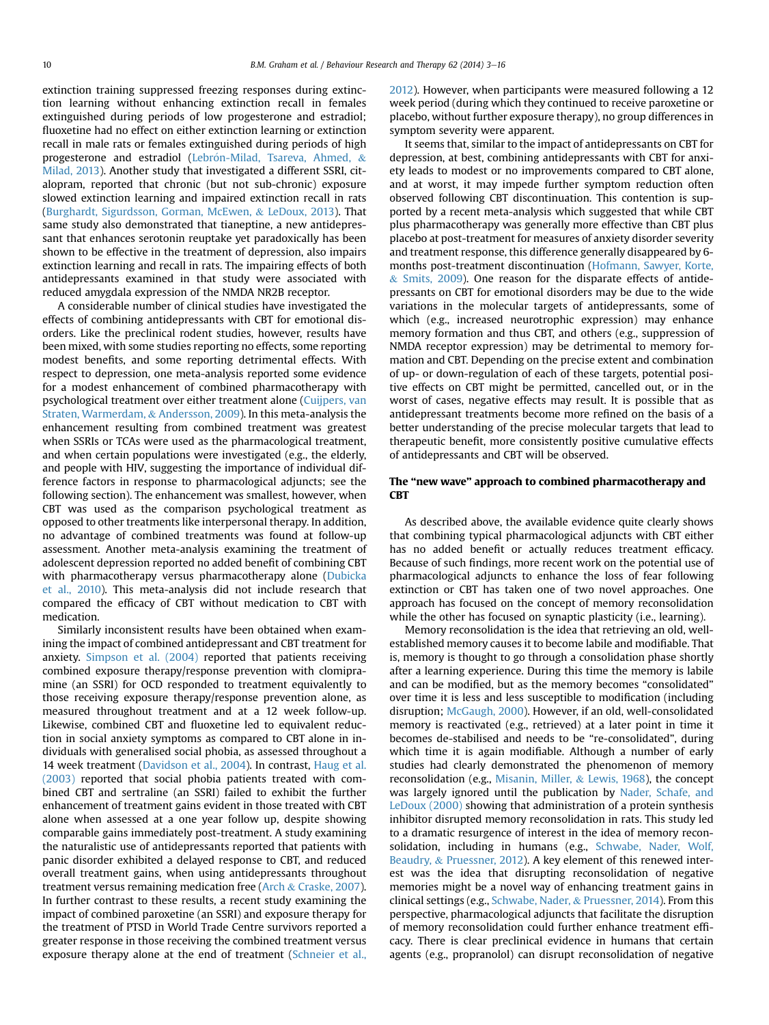extinction training suppressed freezing responses during extinction learning without enhancing extinction recall in females extinguished during periods of low progesterone and estradiol; fluoxetine had no effect on either extinction learning or extinction recall in male rats or females extinguished during periods of high progesterone and estradiol ([Lebr](#page-12-0)ó[n-Milad, Tsareva, Ahmed,](#page-12-0) & [Milad, 2013](#page-12-0)). Another study that investigated a different SSRI, citalopram, reported that chronic (but not sub-chronic) exposure slowed extinction learning and impaired extinction recall in rats ([Burghardt, Sigurdsson, Gorman, McEwen,](#page-11-0) & [LeDoux, 2013](#page-11-0)). That same study also demonstrated that tianeptine, a new antidepressant that enhances serotonin reuptake yet paradoxically has been shown to be effective in the treatment of depression, also impairs extinction learning and recall in rats. The impairing effects of both antidepressants examined in that study were associated with reduced amygdala expression of the NMDA NR2B receptor.

A considerable number of clinical studies have investigated the effects of combining antidepressants with CBT for emotional disorders. Like the preclinical rodent studies, however, results have been mixed, with some studies reporting no effects, some reporting modest benefits, and some reporting detrimental effects. With respect to depression, one meta-analysis reported some evidence for a modest enhancement of combined pharmacotherapy with psychological treatment over either treatment alone [\(Cuijpers, van](#page-11-0) [Straten, Warmerdam,](#page-11-0) & [Andersson, 2009\)](#page-11-0). In this meta-analysis the enhancement resulting from combined treatment was greatest when SSRIs or TCAs were used as the pharmacological treatment, and when certain populations were investigated (e.g., the elderly, and people with HIV, suggesting the importance of individual difference factors in response to pharmacological adjuncts; see the following section). The enhancement was smallest, however, when CBT was used as the comparison psychological treatment as opposed to other treatments like interpersonal therapy. In addition, no advantage of combined treatments was found at follow-up assessment. Another meta-analysis examining the treatment of adolescent depression reported no added benefit of combining CBT with pharmacotherapy versus pharmacotherapy alone [\(Dubicka](#page-11-0) [et al., 2010](#page-11-0)). This meta-analysis did not include research that compared the efficacy of CBT without medication to CBT with medication.

Similarly inconsistent results have been obtained when examining the impact of combined antidepressant and CBT treatment for anxiety. [Simpson et al. \(2004\)](#page-13-0) reported that patients receiving combined exposure therapy/response prevention with clomipramine (an SSRI) for OCD responded to treatment equivalently to those receiving exposure therapy/response prevention alone, as measured throughout treatment and at a 12 week follow-up. Likewise, combined CBT and fluoxetine led to equivalent reduction in social anxiety symptoms as compared to CBT alone in individuals with generalised social phobia, as assessed throughout a 14 week treatment [\(Davidson et al., 2004](#page-11-0)). In contrast, [Haug et al.](#page-11-0) [\(2003\)](#page-11-0) reported that social phobia patients treated with combined CBT and sertraline (an SSRI) failed to exhibit the further enhancement of treatment gains evident in those treated with CBT alone when assessed at a one year follow up, despite showing comparable gains immediately post-treatment. A study examining the naturalistic use of antidepressants reported that patients with panic disorder exhibited a delayed response to CBT, and reduced overall treatment gains, when using antidepressants throughout treatment versus remaining medication free [\(Arch](#page-11-0) & [Craske, 2007\)](#page-11-0). In further contrast to these results, a recent study examining the impact of combined paroxetine (an SSRI) and exposure therapy for the treatment of PTSD in World Trade Centre survivors reported a greater response in those receiving the combined treatment versus exposure therapy alone at the end of treatment ([Schneier et al.,](#page-12-0) [2012](#page-12-0)). However, when participants were measured following a 12 week period (during which they continued to receive paroxetine or placebo, without further exposure therapy), no group differences in symptom severity were apparent.

It seems that, similar to the impact of antidepressants on CBT for depression, at best, combining antidepressants with CBT for anxiety leads to modest or no improvements compared to CBT alone, and at worst, it may impede further symptom reduction often observed following CBT discontinuation. This contention is supported by a recent meta-analysis which suggested that while CBT plus pharmacotherapy was generally more effective than CBT plus placebo at post-treatment for measures of anxiety disorder severity and treatment response, this difference generally disappeared by 6 months post-treatment discontinuation ([Hofmann, Sawyer, Korte,](#page-11-0) & [Smits, 2009](#page-11-0)). One reason for the disparate effects of antidepressants on CBT for emotional disorders may be due to the wide variations in the molecular targets of antidepressants, some of which (e.g., increased neurotrophic expression) may enhance memory formation and thus CBT, and others (e.g., suppression of NMDA receptor expression) may be detrimental to memory formation and CBT. Depending on the precise extent and combination of up- or down-regulation of each of these targets, potential positive effects on CBT might be permitted, cancelled out, or in the worst of cases, negative effects may result. It is possible that as antidepressant treatments become more refined on the basis of a better understanding of the precise molecular targets that lead to therapeutic benefit, more consistently positive cumulative effects of antidepressants and CBT will be observed.

## The "new wave" approach to combined pharmacotherapy and CBT

As described above, the available evidence quite clearly shows that combining typical pharmacological adjuncts with CBT either has no added benefit or actually reduces treatment efficacy. Because of such findings, more recent work on the potential use of pharmacological adjuncts to enhance the loss of fear following extinction or CBT has taken one of two novel approaches. One approach has focused on the concept of memory reconsolidation while the other has focused on synaptic plasticity (i.e., learning).

Memory reconsolidation is the idea that retrieving an old, wellestablished memory causes it to become labile and modifiable. That is, memory is thought to go through a consolidation phase shortly after a learning experience. During this time the memory is labile and can be modified, but as the memory becomes "consolidated" over time it is less and less susceptible to modification (including disruption; [McGaugh, 2000\)](#page-12-0). However, if an old, well-consolidated memory is reactivated (e.g., retrieved) at a later point in time it becomes de-stabilised and needs to be "re-consolidated", during which time it is again modifiable. Although a number of early studies had clearly demonstrated the phenomenon of memory reconsolidation (e.g., [Misanin, Miller,](#page-12-0) & [Lewis, 1968\)](#page-12-0), the concept was largely ignored until the publication by [Nader, Schafe, and](#page-12-0) [LeDoux \(2000\)](#page-12-0) showing that administration of a protein synthesis inhibitor disrupted memory reconsolidation in rats. This study led to a dramatic resurgence of interest in the idea of memory reconsolidation, including in humans (e.g., [Schwabe, Nader, Wolf,](#page-12-0) [Beaudry,](#page-12-0) & [Pruessner, 2012](#page-12-0)). A key element of this renewed interest was the idea that disrupting reconsolidation of negative memories might be a novel way of enhancing treatment gains in clinical settings (e.g., [Schwabe, Nader,](#page-12-0) & [Pruessner, 2014\)](#page-12-0). From this perspective, pharmacological adjuncts that facilitate the disruption of memory reconsolidation could further enhance treatment efficacy. There is clear preclinical evidence in humans that certain agents (e.g., propranolol) can disrupt reconsolidation of negative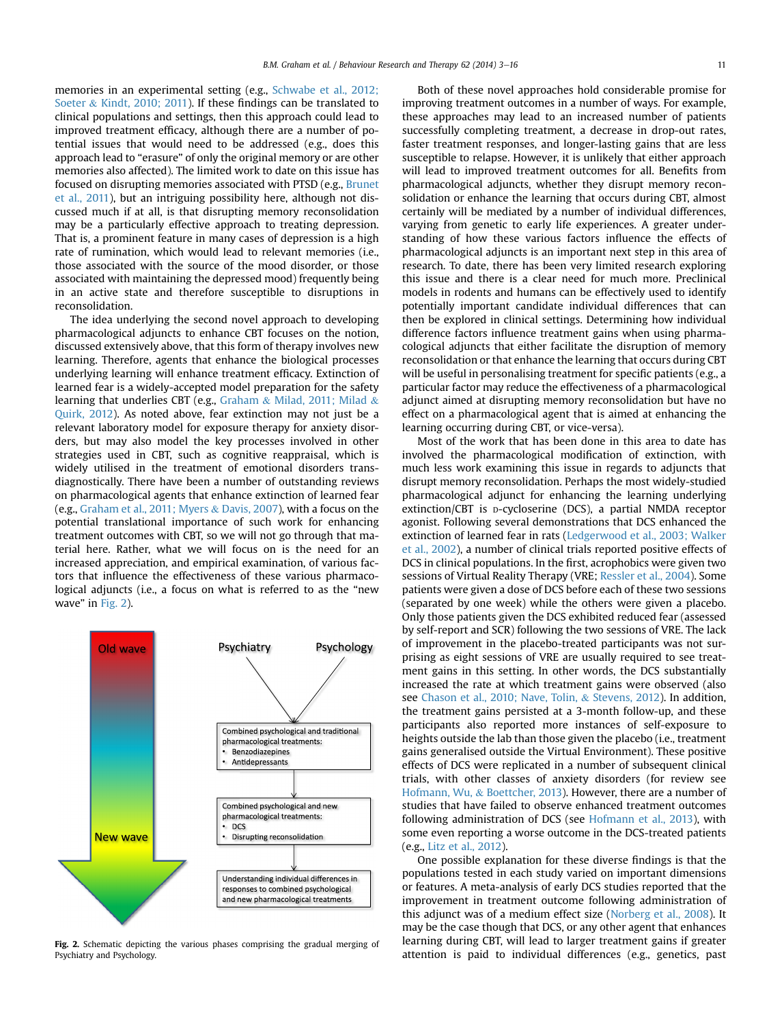<span id="page-8-0"></span>memories in an experimental setting (e.g., [Schwabe et al., 2012;](#page-12-0) [Soeter](#page-12-0) & [Kindt, 2010; 2011](#page-12-0)). If these findings can be translated to clinical populations and settings, then this approach could lead to improved treatment efficacy, although there are a number of potential issues that would need to be addressed (e.g., does this approach lead to "erasure" of only the original memory or are other memories also affected). The limited work to date on this issue has focused on disrupting memories associated with PTSD (e.g., [Brunet](#page-11-0) [et al., 2011\)](#page-11-0), but an intriguing possibility here, although not discussed much if at all, is that disrupting memory reconsolidation may be a particularly effective approach to treating depression. That is, a prominent feature in many cases of depression is a high rate of rumination, which would lead to relevant memories (i.e., those associated with the source of the mood disorder, or those associated with maintaining the depressed mood) frequently being in an active state and therefore susceptible to disruptions in reconsolidation.

The idea underlying the second novel approach to developing pharmacological adjuncts to enhance CBT focuses on the notion, discussed extensively above, that this form of therapy involves new learning. Therefore, agents that enhance the biological processes underlying learning will enhance treatment efficacy. Extinction of learned fear is a widely-accepted model preparation for the safety learning that underlies CBT (e.g., [Graham](#page-11-0) & [Milad, 2011; Milad](#page-11-0) & [Quirk, 2012\)](#page-11-0). As noted above, fear extinction may not just be a relevant laboratory model for exposure therapy for anxiety disorders, but may also model the key processes involved in other strategies used in CBT, such as cognitive reappraisal, which is widely utilised in the treatment of emotional disorders transdiagnostically. There have been a number of outstanding reviews on pharmacological agents that enhance extinction of learned fear (e.g., [Graham et al., 2011; Myers](#page-11-0) & [Davis, 2007](#page-11-0)), with a focus on the potential translational importance of such work for enhancing treatment outcomes with CBT, so we will not go through that material here. Rather, what we will focus on is the need for an increased appreciation, and empirical examination, of various factors that influence the effectiveness of these various pharmacological adjuncts (i.e., a focus on what is referred to as the "new wave" in Fig. 2).



Fig. 2. Schematic depicting the various phases comprising the gradual merging of Psychiatry and Psychology.

Both of these novel approaches hold considerable promise for improving treatment outcomes in a number of ways. For example, these approaches may lead to an increased number of patients successfully completing treatment, a decrease in drop-out rates, faster treatment responses, and longer-lasting gains that are less susceptible to relapse. However, it is unlikely that either approach will lead to improved treatment outcomes for all. Benefits from pharmacological adjuncts, whether they disrupt memory reconsolidation or enhance the learning that occurs during CBT, almost certainly will be mediated by a number of individual differences, varying from genetic to early life experiences. A greater understanding of how these various factors influence the effects of pharmacological adjuncts is an important next step in this area of research. To date, there has been very limited research exploring this issue and there is a clear need for much more. Preclinical models in rodents and humans can be effectively used to identify potentially important candidate individual differences that can then be explored in clinical settings. Determining how individual difference factors influence treatment gains when using pharmacological adjuncts that either facilitate the disruption of memory reconsolidation or that enhance the learning that occurs during CBT will be useful in personalising treatment for specific patients (e.g., a particular factor may reduce the effectiveness of a pharmacological adjunct aimed at disrupting memory reconsolidation but have no effect on a pharmacological agent that is aimed at enhancing the learning occurring during CBT, or vice-versa).

Most of the work that has been done in this area to date has involved the pharmacological modification of extinction, with much less work examining this issue in regards to adjuncts that disrupt memory reconsolidation. Perhaps the most widely-studied pharmacological adjunct for enhancing the learning underlying extinction/CBT is D-cycloserine (DCS), a partial NMDA receptor agonist. Following several demonstrations that DCS enhanced the extinction of learned fear in rats [\(Ledgerwood et al., 2003; Walker](#page-12-0) [et al., 2002\)](#page-12-0), a number of clinical trials reported positive effects of DCS in clinical populations. In the first, acrophobics were given two sessions of Virtual Reality Therapy (VRE; [Ressler et al., 2004\)](#page-12-0). Some patients were given a dose of DCS before each of these two sessions (separated by one week) while the others were given a placebo. Only those patients given the DCS exhibited reduced fear (assessed by self-report and SCR) following the two sessions of VRE. The lack of improvement in the placebo-treated participants was not surprising as eight sessions of VRE are usually required to see treatment gains in this setting. In other words, the DCS substantially increased the rate at which treatment gains were observed (also see [Chason et al., 2010; Nave, Tolin,](#page-11-0) & [Stevens, 2012](#page-11-0)). In addition, the treatment gains persisted at a 3-month follow-up, and these participants also reported more instances of self-exposure to heights outside the lab than those given the placebo (i.e., treatment gains generalised outside the Virtual Environment). These positive effects of DCS were replicated in a number of subsequent clinical trials, with other classes of anxiety disorders (for review see [Hofmann, Wu,](#page-12-0) & [Boettcher, 2013](#page-12-0)). However, there are a number of studies that have failed to observe enhanced treatment outcomes following administration of DCS (see [Hofmann et al., 2013\)](#page-12-0), with some even reporting a worse outcome in the DCS-treated patients (e.g., [Litz et al., 2012\)](#page-12-0).

One possible explanation for these diverse findings is that the populations tested in each study varied on important dimensions or features. A meta-analysis of early DCS studies reported that the improvement in treatment outcome following administration of this adjunct was of a medium effect size ([Norberg et al., 2008](#page-12-0)). It may be the case though that DCS, or any other agent that enhances learning during CBT, will lead to larger treatment gains if greater attention is paid to individual differences (e.g., genetics, past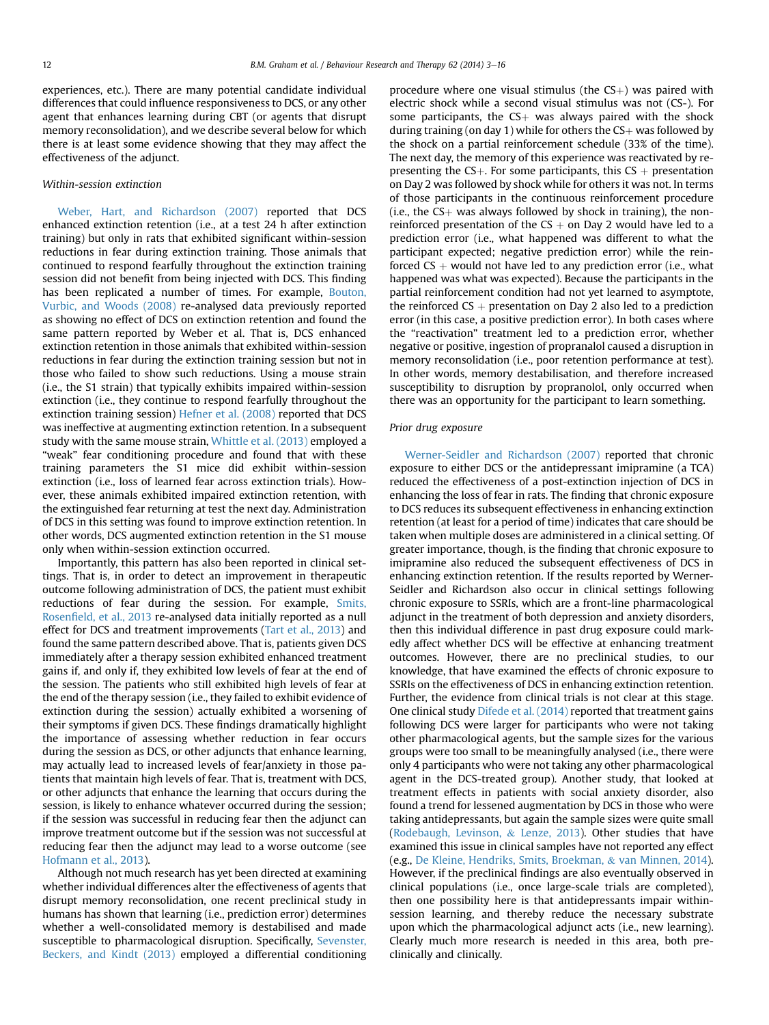experiences, etc.). There are many potential candidate individual differences that could influence responsiveness to DCS, or any other agent that enhances learning during CBT (or agents that disrupt memory reconsolidation), and we describe several below for which there is at least some evidence showing that they may affect the effectiveness of the adjunct.

### Within-session extinction

[Weber, Hart, and Richardson \(2007\)](#page-13-0) reported that DCS enhanced extinction retention (i.e., at a test 24 h after extinction training) but only in rats that exhibited significant within-session reductions in fear during extinction training. Those animals that continued to respond fearfully throughout the extinction training session did not benefit from being injected with DCS. This finding has been replicated a number of times. For example, [Bouton,](#page-11-0) [Vurbic, and Woods \(2008\)](#page-11-0) re-analysed data previously reported as showing no effect of DCS on extinction retention and found the same pattern reported by Weber et al. That is, DCS enhanced extinction retention in those animals that exhibited within-session reductions in fear during the extinction training session but not in those who failed to show such reductions. Using a mouse strain (i.e., the S1 strain) that typically exhibits impaired within-session extinction (i.e., they continue to respond fearfully throughout the extinction training session) [Hefner et al. \(2008\)](#page-11-0) reported that DCS was ineffective at augmenting extinction retention. In a subsequent study with the same mouse strain, [Whittle et al. \(2013\)](#page-13-0) employed a "weak" fear conditioning procedure and found that with these training parameters the S1 mice did exhibit within-session extinction (i.e., loss of learned fear across extinction trials). However, these animals exhibited impaired extinction retention, with the extinguished fear returning at test the next day. Administration of DCS in this setting was found to improve extinction retention. In other words, DCS augmented extinction retention in the S1 mouse only when within-session extinction occurred.

Importantly, this pattern has also been reported in clinical settings. That is, in order to detect an improvement in therapeutic outcome following administration of DCS, the patient must exhibit reductions of fear during the session. For example, [Smits,](#page-13-0) Rosenfi[eld, et al., 2013](#page-13-0) re-analysed data initially reported as a null effect for DCS and treatment improvements [\(Tart et al., 2013](#page-13-0)) and found the same pattern described above. That is, patients given DCS immediately after a therapy session exhibited enhanced treatment gains if, and only if, they exhibited low levels of fear at the end of the session. The patients who still exhibited high levels of fear at the end of the therapy session (i.e., they failed to exhibit evidence of extinction during the session) actually exhibited a worsening of their symptoms if given DCS. These findings dramatically highlight the importance of assessing whether reduction in fear occurs during the session as DCS, or other adjuncts that enhance learning, may actually lead to increased levels of fear/anxiety in those patients that maintain high levels of fear. That is, treatment with DCS, or other adjuncts that enhance the learning that occurs during the session, is likely to enhance whatever occurred during the session; if the session was successful in reducing fear then the adjunct can improve treatment outcome but if the session was not successful at reducing fear then the adjunct may lead to a worse outcome (see [Hofmann et al., 2013\)](#page-12-0).

Although not much research has yet been directed at examining whether individual differences alter the effectiveness of agents that disrupt memory reconsolidation, one recent preclinical study in humans has shown that learning (i.e., prediction error) determines whether a well-consolidated memory is destabilised and made susceptible to pharmacological disruption. Specifically, [Sevenster,](#page-13-0) [Beckers, and Kindt \(2013\)](#page-13-0) employed a differential conditioning procedure where one visual stimulus (the  $CS$ +) was paired with electric shock while a second visual stimulus was not (CS-). For some participants, the  $CS$ + was always paired with the shock during training (on day 1) while for others the  $CS$ + was followed by the shock on a partial reinforcement schedule (33% of the time). The next day, the memory of this experience was reactivated by representing the  $CS$ +. For some participants, this  $CS$  + presentation on Day 2 was followed by shock while for others it was not. In terms of those participants in the continuous reinforcement procedure  $(i.e., the CS+ was always followed by shock in training), the non$ reinforced presentation of the  $CS +$  on Day 2 would have led to a prediction error (i.e., what happened was different to what the participant expected; negative prediction error) while the reinforced  $CS +$  would not have led to any prediction error (i.e., what happened was what was expected). Because the participants in the partial reinforcement condition had not yet learned to asymptote, the reinforced  $CS +$  presentation on Day 2 also led to a prediction error (in this case, a positive prediction error). In both cases where the "reactivation" treatment led to a prediction error, whether negative or positive, ingestion of propranalol caused a disruption in memory reconsolidation (i.e., poor retention performance at test). In other words, memory destabilisation, and therefore increased susceptibility to disruption by propranolol, only occurred when there was an opportunity for the participant to learn something.

## Prior drug exposure

[Werner-Seidler and Richardson \(2007\)](#page-13-0) reported that chronic exposure to either DCS or the antidepressant imipramine (a TCA) reduced the effectiveness of a post-extinction injection of DCS in enhancing the loss of fear in rats. The finding that chronic exposure to DCS reduces its subsequent effectiveness in enhancing extinction retention (at least for a period of time) indicates that care should be taken when multiple doses are administered in a clinical setting. Of greater importance, though, is the finding that chronic exposure to imipramine also reduced the subsequent effectiveness of DCS in enhancing extinction retention. If the results reported by Werner-Seidler and Richardson also occur in clinical settings following chronic exposure to SSRIs, which are a front-line pharmacological adjunct in the treatment of both depression and anxiety disorders, then this individual difference in past drug exposure could markedly affect whether DCS will be effective at enhancing treatment outcomes. However, there are no preclinical studies, to our knowledge, that have examined the effects of chronic exposure to SSRIs on the effectiveness of DCS in enhancing extinction retention. Further, the evidence from clinical trials is not clear at this stage. One clinical study [Difede et al. \(2014\)](#page-11-0) reported that treatment gains following DCS were larger for participants who were not taking other pharmacological agents, but the sample sizes for the various groups were too small to be meaningfully analysed (i.e., there were only 4 participants who were not taking any other pharmacological agent in the DCS-treated group). Another study, that looked at treatment effects in patients with social anxiety disorder, also found a trend for lessened augmentation by DCS in those who were taking antidepressants, but again the sample sizes were quite small ([Rodebaugh, Levinson,](#page-12-0) & [Lenze, 2013\)](#page-12-0). Other studies that have examined this issue in clinical samples have not reported any effect (e.g., [De Kleine, Hendriks, Smits, Broekman,](#page-11-0) & [van Minnen, 2014\)](#page-11-0). However, if the preclinical findings are also eventually observed in clinical populations (i.e., once large-scale trials are completed), then one possibility here is that antidepressants impair withinsession learning, and thereby reduce the necessary substrate upon which the pharmacological adjunct acts (i.e., new learning). Clearly much more research is needed in this area, both preclinically and clinically.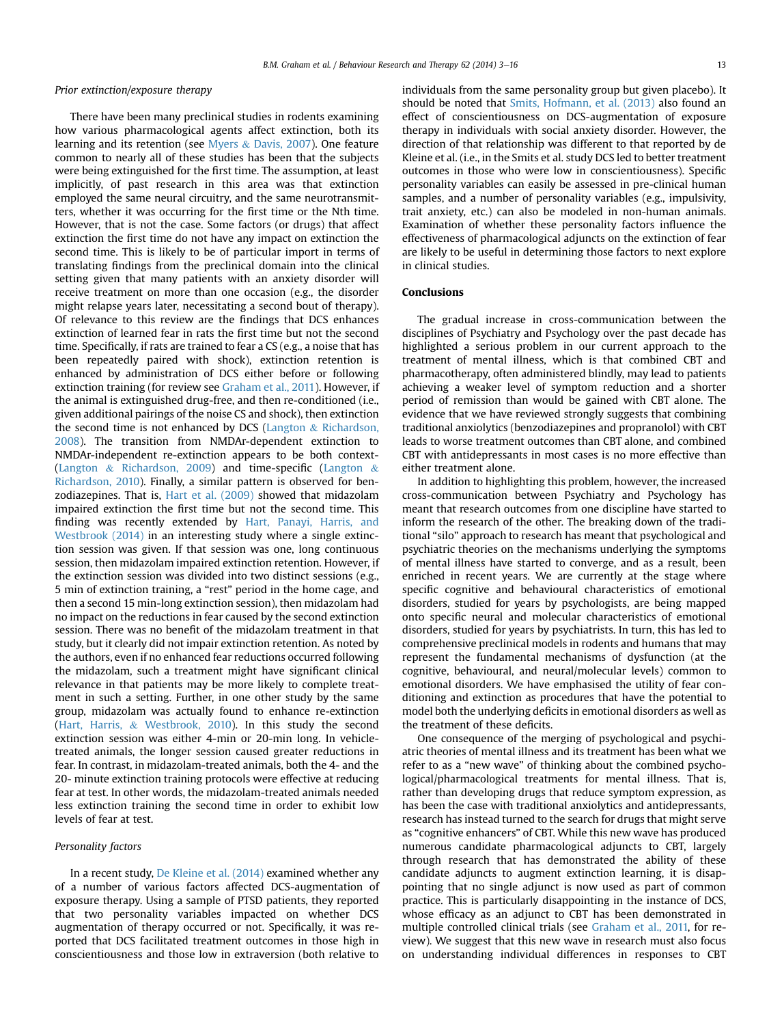#### Prior extinction/exposure therapy

There have been many preclinical studies in rodents examining how various pharmacological agents affect extinction, both its learning and its retention (see [Myers](#page-12-0) & [Davis, 2007](#page-12-0)). One feature common to nearly all of these studies has been that the subjects were being extinguished for the first time. The assumption, at least implicitly, of past research in this area was that extinction employed the same neural circuitry, and the same neurotransmitters, whether it was occurring for the first time or the Nth time. However, that is not the case. Some factors (or drugs) that affect extinction the first time do not have any impact on extinction the second time. This is likely to be of particular import in terms of translating findings from the preclinical domain into the clinical setting given that many patients with an anxiety disorder will receive treatment on more than one occasion (e.g., the disorder might relapse years later, necessitating a second bout of therapy). Of relevance to this review are the findings that DCS enhances extinction of learned fear in rats the first time but not the second time. Specifically, if rats are trained to fear a CS (e.g., a noise that has been repeatedly paired with shock), extinction retention is enhanced by administration of DCS either before or following extinction training (for review see [Graham et al., 2011](#page-11-0)). However, if the animal is extinguished drug-free, and then re-conditioned (i.e., given additional pairings of the noise CS and shock), then extinction the second time is not enhanced by DCS [\(Langton](#page-12-0) & [Richardson,](#page-12-0) [2008\)](#page-12-0). The transition from NMDAr-dependent extinction to NMDAr-independent re-extinction appears to be both context- ([Langton](#page-12-0) & [Richardson, 2009\)](#page-12-0) and time-specific ([Langton](#page-12-0) & [Richardson, 2010](#page-12-0)). Finally, a similar pattern is observed for benzodiazepines. That is, [Hart et al. \(2009\)](#page-11-0) showed that midazolam impaired extinction the first time but not the second time. This finding was recently extended by [Hart, Panayi, Harris, and](#page-11-0) [Westbrook \(2014\)](#page-11-0) in an interesting study where a single extinction session was given. If that session was one, long continuous session, then midazolam impaired extinction retention. However, if the extinction session was divided into two distinct sessions (e.g., 5 min of extinction training, a "rest" period in the home cage, and then a second 15 min-long extinction session), then midazolam had no impact on the reductions in fear caused by the second extinction session. There was no benefit of the midazolam treatment in that study, but it clearly did not impair extinction retention. As noted by the authors, even if no enhanced fear reductions occurred following the midazolam, such a treatment might have significant clinical relevance in that patients may be more likely to complete treatment in such a setting. Further, in one other study by the same group, midazolam was actually found to enhance re-extinction ([Hart, Harris,](#page-11-0) & [Westbrook, 2010](#page-11-0)). In this study the second extinction session was either 4-min or 20-min long. In vehicletreated animals, the longer session caused greater reductions in fear. In contrast, in midazolam-treated animals, both the 4- and the 20- minute extinction training protocols were effective at reducing fear at test. In other words, the midazolam-treated animals needed less extinction training the second time in order to exhibit low levels of fear at test.

## Personality factors

In a recent study, [De Kleine et al. \(2014\)](#page-11-0) examined whether any of a number of various factors affected DCS-augmentation of exposure therapy. Using a sample of PTSD patients, they reported that two personality variables impacted on whether DCS augmentation of therapy occurred or not. Specifically, it was reported that DCS facilitated treatment outcomes in those high in conscientiousness and those low in extraversion (both relative to

individuals from the same personality group but given placebo). It should be noted that [Smits, Hofmann, et al. \(2013\)](#page-13-0) also found an effect of conscientiousness on DCS-augmentation of exposure therapy in individuals with social anxiety disorder. However, the direction of that relationship was different to that reported by de Kleine et al. (i.e., in the Smits et al. study DCS led to better treatment outcomes in those who were low in conscientiousness). Specific personality variables can easily be assessed in pre-clinical human samples, and a number of personality variables (e.g., impulsivity, trait anxiety, etc.) can also be modeled in non-human animals. Examination of whether these personality factors influence the effectiveness of pharmacological adjuncts on the extinction of fear are likely to be useful in determining those factors to next explore in clinical studies.

## **Conclusions**

The gradual increase in cross-communication between the disciplines of Psychiatry and Psychology over the past decade has highlighted a serious problem in our current approach to the treatment of mental illness, which is that combined CBT and pharmacotherapy, often administered blindly, may lead to patients achieving a weaker level of symptom reduction and a shorter period of remission than would be gained with CBT alone. The evidence that we have reviewed strongly suggests that combining traditional anxiolytics (benzodiazepines and propranolol) with CBT leads to worse treatment outcomes than CBT alone, and combined CBT with antidepressants in most cases is no more effective than either treatment alone.

In addition to highlighting this problem, however, the increased cross-communication between Psychiatry and Psychology has meant that research outcomes from one discipline have started to inform the research of the other. The breaking down of the traditional "silo" approach to research has meant that psychological and psychiatric theories on the mechanisms underlying the symptoms of mental illness have started to converge, and as a result, been enriched in recent years. We are currently at the stage where specific cognitive and behavioural characteristics of emotional disorders, studied for years by psychologists, are being mapped onto specific neural and molecular characteristics of emotional disorders, studied for years by psychiatrists. In turn, this has led to comprehensive preclinical models in rodents and humans that may represent the fundamental mechanisms of dysfunction (at the cognitive, behavioural, and neural/molecular levels) common to emotional disorders. We have emphasised the utility of fear conditioning and extinction as procedures that have the potential to model both the underlying deficits in emotional disorders as well as the treatment of these deficits.

One consequence of the merging of psychological and psychiatric theories of mental illness and its treatment has been what we refer to as a "new wave" of thinking about the combined psychological/pharmacological treatments for mental illness. That is, rather than developing drugs that reduce symptom expression, as has been the case with traditional anxiolytics and antidepressants, research has instead turned to the search for drugs that might serve as "cognitive enhancers" of CBT. While this new wave has produced numerous candidate pharmacological adjuncts to CBT, largely through research that has demonstrated the ability of these candidate adjuncts to augment extinction learning, it is disappointing that no single adjunct is now used as part of common practice. This is particularly disappointing in the instance of DCS, whose efficacy as an adjunct to CBT has been demonstrated in multiple controlled clinical trials (see [Graham et al., 2011,](#page-11-0) for review). We suggest that this new wave in research must also focus on understanding individual differences in responses to CBT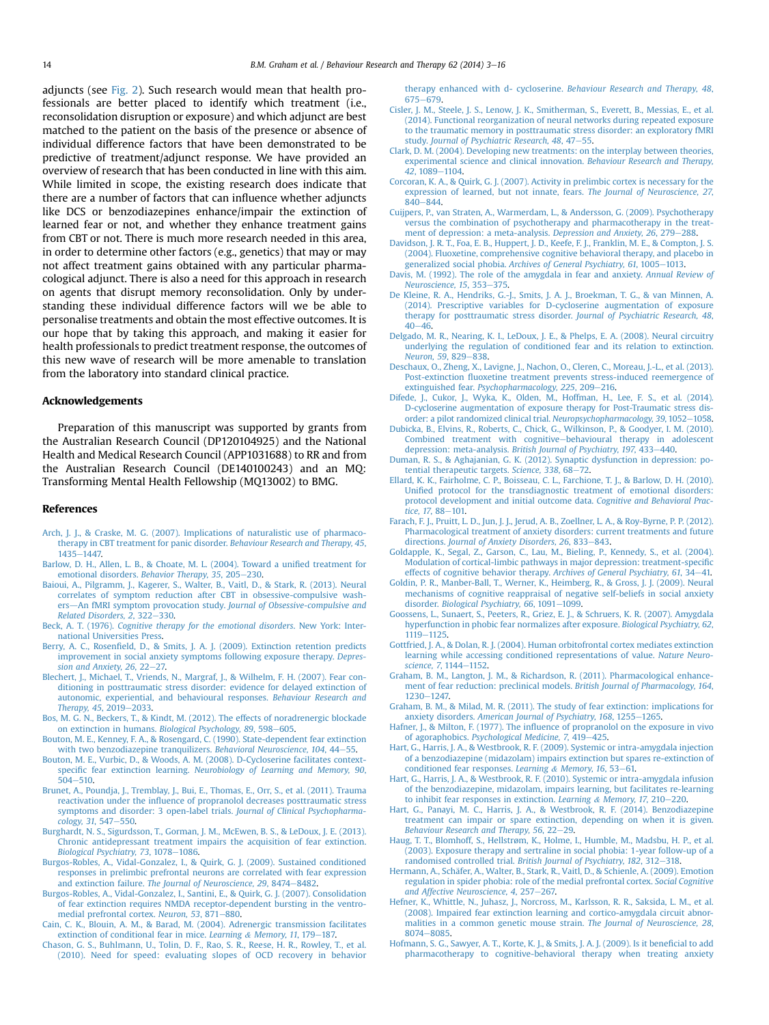<span id="page-11-0"></span>adjuncts (see [Fig. 2](#page-8-0)). Such research would mean that health professionals are better placed to identify which treatment (i.e., reconsolidation disruption or exposure) and which adjunct are best matched to the patient on the basis of the presence or absence of individual difference factors that have been demonstrated to be predictive of treatment/adjunct response. We have provided an overview of research that has been conducted in line with this aim. While limited in scope, the existing research does indicate that there are a number of factors that can influence whether adjuncts like DCS or benzodiazepines enhance/impair the extinction of learned fear or not, and whether they enhance treatment gains from CBT or not. There is much more research needed in this area, in order to determine other factors (e.g., genetics) that may or may not affect treatment gains obtained with any particular pharmacological adjunct. There is also a need for this approach in research on agents that disrupt memory reconsolidation. Only by understanding these individual difference factors will we be able to personalise treatments and obtain the most effective outcomes. It is our hope that by taking this approach, and making it easier for health professionals to predict treatment response, the outcomes of this new wave of research will be more amenable to translation from the laboratory into standard clinical practice.

## Acknowledgements

Preparation of this manuscript was supported by grants from the Australian Research Council (DP120104925) and the National Health and Medical Research Council (APP1031688) to RR and from the Australian Research Council (DE140100243) and an MQ: Transforming Mental Health Fellowship (MQ13002) to BMG.

## References

- [Arch, J. J., & Craske, M. G. \(2007\). Implications of naturalistic use of pharmaco](http://refhub.elsevier.com/S0005-7967(14)00115-6/sref1)[therapy in CBT treatment for panic disorder.](http://refhub.elsevier.com/S0005-7967(14)00115-6/sref1) Behaviour Research and Therapy, 45,  $1435 - 1447$  $1435 - 1447$ .
- [Barlow, D. H., Allen, L. B., & Choate, M. L. \(2004\). Toward a uni](http://refhub.elsevier.com/S0005-7967(14)00115-6/sref2)fied treatment for [emotional disorders.](http://refhub.elsevier.com/S0005-7967(14)00115-6/sref2) Behavior Therapy, 35, 205-[230.](http://refhub.elsevier.com/S0005-7967(14)00115-6/sref2)
- [Baioui, A., Pilgramm, J., Kagerer, S., Walter, B., Vaitl, D., & Stark, R. \(2013\). Neural](http://refhub.elsevier.com/S0005-7967(14)00115-6/sref3) [correlates of symptom reduction after CBT in obsessive-compulsive wash](http://refhub.elsevier.com/S0005-7967(14)00115-6/sref3)[ers](http://refhub.elsevier.com/S0005-7967(14)00115-6/sref3)-[An fMRI symptom provocation study.](http://refhub.elsevier.com/S0005-7967(14)00115-6/sref3) Journal of Obsessive-compulsive and Related Disorders,  $2, 322 - 330$  $2, 322 - 330$ .
- Beck, A. T. (1976). [Cognitive therapy for the emotional disorders](http://refhub.elsevier.com/S0005-7967(14)00115-6/sref4). New York: Inter[national Universities Press](http://refhub.elsevier.com/S0005-7967(14)00115-6/sref4).
- Berry, A. C., Rosenfi[eld, D., & Smits, J. A. J. \(2009\). Extinction retention predicts](http://refhub.elsevier.com/S0005-7967(14)00115-6/sref5) [improvement in social anxiety symptoms following exposure therapy.](http://refhub.elsevier.com/S0005-7967(14)00115-6/sref5) Depression and Anxiety,  $26, 22-27$ .
- [Blechert, J., Michael, T., Vriends, N., Margraf, J., & Wilhelm, F. H. \(2007\). Fear con](http://refhub.elsevier.com/S0005-7967(14)00115-6/sref6)[ditioning in posttraumatic stress disorder: evidence for delayed extinction of](http://refhub.elsevier.com/S0005-7967(14)00115-6/sref6) [autonomic, experiential, and behavioural responses.](http://refhub.elsevier.com/S0005-7967(14)00115-6/sref6) Behaviour Research and [Therapy, 45](http://refhub.elsevier.com/S0005-7967(14)00115-6/sref6), 2019-[2033](http://refhub.elsevier.com/S0005-7967(14)00115-6/sref6).
- [Bos, M. G. N., Beckers, T., & Kindt, M. \(2012\). The effects of noradrenergic blockade](http://refhub.elsevier.com/S0005-7967(14)00115-6/sref7) [on extinction in humans.](http://refhub.elsevier.com/S0005-7967(14)00115-6/sref7) Biological Psychology, 89, 598–[605.](http://refhub.elsevier.com/S0005-7967(14)00115-6/sref7)
- [Bouton, M. E., Kenney, F. A., & Rosengard, C. \(1990\). State-dependent fear extinction](http://refhub.elsevier.com/S0005-7967(14)00115-6/sref8) [with two benzodiazepine tranquilizers.](http://refhub.elsevier.com/S0005-7967(14)00115-6/sref8) Behavioral Neuroscience, 104, 44-[55.](http://refhub.elsevier.com/S0005-7967(14)00115-6/sref8)
- [Bouton, M. E., Vurbic, D., & Woods, A. M. \(2008\). D-Cycloserine facilitates context](http://refhub.elsevier.com/S0005-7967(14)00115-6/sref9)specific fear extinction learning. [Neurobiology of Learning and Memory, 90](http://refhub.elsevier.com/S0005-7967(14)00115-6/sref9),  $504 - 510$  $504 - 510$ .
- [Brunet, A., Poundja, J., Tremblay, J., Bui, E., Thomas, E., Orr, S., et al. \(2011\). Trauma](http://refhub.elsevier.com/S0005-7967(14)00115-6/sref10) reactivation under the infl[uence of propranolol decreases posttraumatic stress](http://refhub.elsevier.com/S0005-7967(14)00115-6/sref10) [symptoms and disorder: 3 open-label trials.](http://refhub.elsevier.com/S0005-7967(14)00115-6/sref10) Journal of Clinical Psychopharma[cology, 31](http://refhub.elsevier.com/S0005-7967(14)00115-6/sref10), 547-[550](http://refhub.elsevier.com/S0005-7967(14)00115-6/sref10).
- [Burghardt, N. S., Sigurdsson, T., Gorman, J. M., McEwen, B. S., & LeDoux, J. E. \(2013\).](http://refhub.elsevier.com/S0005-7967(14)00115-6/sref11) [Chronic antidepressant treatment impairs the acquisition of fear extinction.](http://refhub.elsevier.com/S0005-7967(14)00115-6/sref11) [Biological Psychiatry, 73](http://refhub.elsevier.com/S0005-7967(14)00115-6/sref11), 1078-[1086](http://refhub.elsevier.com/S0005-7967(14)00115-6/sref11).
- [Burgos-Robles, A., Vidal-Gonzalez, I., & Quirk, G. J. \(2009\). Sustained conditioned](http://refhub.elsevier.com/S0005-7967(14)00115-6/sref12) [responses in prelimbic prefrontal neurons are correlated with fear expression](http://refhub.elsevier.com/S0005-7967(14)00115-6/sref12) and extinction failure. [The Journal of Neuroscience, 29](http://refhub.elsevier.com/S0005-7967(14)00115-6/sref12), 8474-[8482](http://refhub.elsevier.com/S0005-7967(14)00115-6/sref12).
- [Burgos-Robles, A., Vidal-Gonzalez, I., Santini, E., & Quirk, G. J. \(2007\). Consolidation](http://refhub.elsevier.com/S0005-7967(14)00115-6/sref13) [of fear extinction requires NMDA receptor-dependent bursting in the ventro](http://refhub.elsevier.com/S0005-7967(14)00115-6/sref13)[medial prefrontal cortex.](http://refhub.elsevier.com/S0005-7967(14)00115-6/sref13) Neuron, 53, 871-[880.](http://refhub.elsevier.com/S0005-7967(14)00115-6/sref13)
- [Cain, C. K., Blouin, A. M., & Barad, M. \(2004\). Adrenergic transmission facilitates](http://refhub.elsevier.com/S0005-7967(14)00115-6/sref14) [extinction of conditional fear in mice.](http://refhub.elsevier.com/S0005-7967(14)00115-6/sref14) Learning & [Memory, 11](http://refhub.elsevier.com/S0005-7967(14)00115-6/sref14), 179-[187.](http://refhub.elsevier.com/S0005-7967(14)00115-6/sref14)
- [Chason, G. S., Buhlmann, U., Tolin, D. F., Rao, S. R., Reese, H. R., Rowley, T., et al.](http://refhub.elsevier.com/S0005-7967(14)00115-6/sref15) [\(2010\). Need for speed: evaluating slopes of OCD recovery in behavior](http://refhub.elsevier.com/S0005-7967(14)00115-6/sref15)

[therapy enhanced with d- cycloserine.](http://refhub.elsevier.com/S0005-7967(14)00115-6/sref15) Behaviour Research and Therapy, 48,  $675 - 679$  $675 - 679$ 

- [Cisler, J. M., Steele, J. S., Lenow, J. K., Smitherman, S., Everett, B., Messias, E., et al.](http://refhub.elsevier.com/S0005-7967(14)00115-6/sref16) [\(2014\). Functional reorganization of neural networks during repeated exposure](http://refhub.elsevier.com/S0005-7967(14)00115-6/sref16) [to the traumatic memory in posttraumatic stress disorder: an exploratory fMRI](http://refhub.elsevier.com/S0005-7967(14)00115-6/sref16) study. [Journal of Psychiatric Research, 48](http://refhub.elsevier.com/S0005-7967(14)00115-6/sref16), 47-[55.](http://refhub.elsevier.com/S0005-7967(14)00115-6/sref16)
- [Clark, D. M. \(2004\). Developing new treatments: on the interplay between theories,](http://refhub.elsevier.com/S0005-7967(14)00115-6/sref17) [experimental science and clinical innovation.](http://refhub.elsevier.com/S0005-7967(14)00115-6/sref17) Behaviour Research and Therapy,  $42.1089 - 1104.$  $42.1089 - 1104.$  $42.1089 - 1104.$
- [Corcoran, K. A., & Quirk, G. J. \(2007\). Activity in prelimbic cortex is necessary for the](http://refhub.elsevier.com/S0005-7967(14)00115-6/sref18) [expression of learned, but not innate, fears.](http://refhub.elsevier.com/S0005-7967(14)00115-6/sref18) The Journal of Neuroscience, 27,  $840 - 844$  $840 - 844$
- [Cuijpers, P., van Straten, A., Warmerdam, L., & Andersson, G. \(2009\). Psychotherapy](http://refhub.elsevier.com/S0005-7967(14)00115-6/sref19) [versus the combination of psychotherapy and pharmacotherapy in the treat](http://refhub.elsevier.com/S0005-7967(14)00115-6/sref19)[ment of depression: a meta-analysis.](http://refhub.elsevier.com/S0005-7967(14)00115-6/sref19) Depression and Anxiety, 26, 279–[288](http://refhub.elsevier.com/S0005-7967(14)00115-6/sref19).
- [Davidson, J. R. T., Foa, E. B., Huppert, J. D., Keefe, F. J., Franklin, M. E., & Compton, J. S.](http://refhub.elsevier.com/S0005-7967(14)00115-6/sref20) [\(2004\). Fluoxetine, comprehensive cognitive behavioral therapy, and placebo in](http://refhub.elsevier.com/S0005-7967(14)00115-6/sref20) generalized social phobia. Archives of General Psychiatry,  $61, 1005-1013$ .
- [Davis, M. \(1992\). The role of the amygdala in fear and anxiety.](http://refhub.elsevier.com/S0005-7967(14)00115-6/sref21) Annual Review of [Neuroscience, 15](http://refhub.elsevier.com/S0005-7967(14)00115-6/sref21), 353-[375](http://refhub.elsevier.com/S0005-7967(14)00115-6/sref21).
- [De Kleine, R. A., Hendriks, G.-J., Smits, J. A. J., Broekman, T. G., & van Minnen, A.](http://refhub.elsevier.com/S0005-7967(14)00115-6/sref22) [\(2014\). Prescriptive variables for D-cycloserine augmentation of exposure](http://refhub.elsevier.com/S0005-7967(14)00115-6/sref22) [therapy for posttraumatic stress disorder.](http://refhub.elsevier.com/S0005-7967(14)00115-6/sref22) Journal of Psychiatric Research, 48,  $40 - 46$  $40 - 46$
- [Delgado, M. R., Nearing, K. I., LeDoux, J. E., & Phelps, E. A. \(2008\). Neural circuitry](http://refhub.elsevier.com/S0005-7967(14)00115-6/sref23) [underlying the regulation of conditioned fear and its relation to extinction.](http://refhub.elsevier.com/S0005-7967(14)00115-6/sref23) [Neuron, 59](http://refhub.elsevier.com/S0005-7967(14)00115-6/sref23), 829-[838.](http://refhub.elsevier.com/S0005-7967(14)00115-6/sref23)
- [Deschaux, O., Zheng, X., Lavigne, J., Nachon, O., Cleren, C., Moreau, J.-L., et al. \(2013\).](http://refhub.elsevier.com/S0005-7967(14)00115-6/sref24) Post-extinction fl[uoxetine treatment prevents stress-induced reemergence of](http://refhub.elsevier.com/S0005-7967(14)00115-6/sref24) extinguished fear. [Psychopharmacology, 225](http://refhub.elsevier.com/S0005-7967(14)00115-6/sref24), 209-[216](http://refhub.elsevier.com/S0005-7967(14)00115-6/sref24).
- [Difede, J., Cukor, J., Wyka, K., Olden, M., Hoffman, H., Lee, F. S., et al. \(2014\).](http://refhub.elsevier.com/S0005-7967(14)00115-6/sref25) [D-cycloserine augmentation of exposure therapy for Post-Traumatic stress dis](http://refhub.elsevier.com/S0005-7967(14)00115-6/sref25)[order: a pilot randomized clinical trial.](http://refhub.elsevier.com/S0005-7967(14)00115-6/sref25) Neuropsychopharmacology, 39, 1052-[1058](http://refhub.elsevier.com/S0005-7967(14)00115-6/sref25).
- [Dubicka, B., Elvins, R., Roberts, C., Chick, G., Wilkinson, P., & Goodyer, I. M. \(2010\).](http://refhub.elsevier.com/S0005-7967(14)00115-6/sref26) [Combined treatment with cognitive](http://refhub.elsevier.com/S0005-7967(14)00115-6/sref26)-[behavioural therapy in adolescent](http://refhub.elsevier.com/S0005-7967(14)00115-6/sref26) depression: meta-analysis. [British Journal of Psychiatry, 197](http://refhub.elsevier.com/S0005-7967(14)00115-6/sref26), 433-[440.](http://refhub.elsevier.com/S0005-7967(14)00115-6/sref26)
- [Duman, R. S., & Aghajanian, G. K. \(2012\). Synaptic dysfunction in depression: po](http://refhub.elsevier.com/S0005-7967(14)00115-6/sref27)[tential therapeutic targets.](http://refhub.elsevier.com/S0005-7967(14)00115-6/sref27) Science, 338, 68-[72](http://refhub.elsevier.com/S0005-7967(14)00115-6/sref27).
- [Ellard, K. K., Fairholme, C. P., Boisseau, C. L., Farchione, T. J., & Barlow, D. H. \(2010\).](http://refhub.elsevier.com/S0005-7967(14)00115-6/sref28) Unifi[ed protocol for the transdiagnostic treatment of emotional disorders:](http://refhub.elsevier.com/S0005-7967(14)00115-6/sref28) [protocol development and initial outcome data.](http://refhub.elsevier.com/S0005-7967(14)00115-6/sref28) Cognitive and Behavioral Prac[tice, 17](http://refhub.elsevier.com/S0005-7967(14)00115-6/sref28), 88-[101.](http://refhub.elsevier.com/S0005-7967(14)00115-6/sref28)
- [Farach, F. J., Pruitt, L. D., Jun, J. J., Jerud, A. B., Zoellner, L. A., & Roy-Byrne, P. P. \(2012\).](http://refhub.elsevier.com/S0005-7967(14)00115-6/sref29) [Pharmacological treatment of anxiety disorders: current treatments and future](http://refhub.elsevier.com/S0005-7967(14)00115-6/sref29) directions. [Journal of Anxiety Disorders, 26](http://refhub.elsevier.com/S0005-7967(14)00115-6/sref29), 833-[843](http://refhub.elsevier.com/S0005-7967(14)00115-6/sref29).
- [Goldapple, K., Segal, Z., Garson, C., Lau, M., Bieling, P., Kennedy, S., et al. \(2004\).](http://refhub.elsevier.com/S0005-7967(14)00115-6/sref30) [Modulation of cortical-limbic pathways in major depression: treatment-speci](http://refhub.elsevier.com/S0005-7967(14)00115-6/sref30)fic [effects of cognitive behavior therapy.](http://refhub.elsevier.com/S0005-7967(14)00115-6/sref30) Archives of General Psychiatry, 61, 34-[41.](http://refhub.elsevier.com/S0005-7967(14)00115-6/sref30)
- [Goldin, P. R., Manber-Ball, T., Werner, K., Heimberg, R., & Gross, J. J. \(2009\). Neural](http://refhub.elsevier.com/S0005-7967(14)00115-6/sref31) [mechanisms of cognitive reappraisal of negative self-beliefs in social anxiety](http://refhub.elsevier.com/S0005-7967(14)00115-6/sref31) disorder. [Biological Psychiatry, 66](http://refhub.elsevier.com/S0005-7967(14)00115-6/sref31), 1091-[1099](http://refhub.elsevier.com/S0005-7967(14)00115-6/sref31).
- [Goossens, L., Sunaert, S., Peeters, R., Griez, E. J., & Schruers, K. R. \(2007\). Amygdala](http://refhub.elsevier.com/S0005-7967(14)00115-6/sref32) [hyperfunction in phobic fear normalizes after exposure.](http://refhub.elsevier.com/S0005-7967(14)00115-6/sref32) Biological Psychiatry, 62, [1119](http://refhub.elsevier.com/S0005-7967(14)00115-6/sref32)-[1125](http://refhub.elsevier.com/S0005-7967(14)00115-6/sref32).
- [Gottfried, J. A., & Dolan, R. J. \(2004\). Human orbitofrontal cortex mediates extinction](http://refhub.elsevier.com/S0005-7967(14)00115-6/sref33) [learning while accessing conditioned representations of value.](http://refhub.elsevier.com/S0005-7967(14)00115-6/sref33) Nature Neuro[science, 7](http://refhub.elsevier.com/S0005-7967(14)00115-6/sref33), 1144-[1152](http://refhub.elsevier.com/S0005-7967(14)00115-6/sref33).
- [Graham, B. M., Langton, J. M., & Richardson, R. \(2011\). Pharmacological enhance](http://refhub.elsevier.com/S0005-7967(14)00115-6/sref34)[ment of fear reduction: preclinical models.](http://refhub.elsevier.com/S0005-7967(14)00115-6/sref34) British Journal of Pharmacology, 164, [1230](http://refhub.elsevier.com/S0005-7967(14)00115-6/sref34)-[1247.](http://refhub.elsevier.com/S0005-7967(14)00115-6/sref34)
- [Graham, B. M., & Milad, M. R. \(2011\). The study of fear extinction: implications for](http://refhub.elsevier.com/S0005-7967(14)00115-6/sref35) anxiety disorders. [American Journal of Psychiatry, 168](http://refhub.elsevier.com/S0005-7967(14)00115-6/sref35), 1255-[1265.](http://refhub.elsevier.com/S0005-7967(14)00115-6/sref35)
- Hafner, J., & Milton, F. (1977). The infl[uence of propranolol on the exposure in vivo](http://refhub.elsevier.com/S0005-7967(14)00115-6/sref36) of agoraphobics. [Psychological Medicine, 7](http://refhub.elsevier.com/S0005-7967(14)00115-6/sref36), 419-[425](http://refhub.elsevier.com/S0005-7967(14)00115-6/sref36).
- [Hart, G., Harris, J. A., & Westbrook, R. F. \(2009\). Systemic or intra-amygdala injection](http://refhub.elsevier.com/S0005-7967(14)00115-6/sref37) [of a benzodiazepine \(midazolam\) impairs extinction but spares re-extinction of](http://refhub.elsevier.com/S0005-7967(14)00115-6/sref37) [conditioned fear responses.](http://refhub.elsevier.com/S0005-7967(14)00115-6/sref37) Learning & [Memory, 16](http://refhub.elsevier.com/S0005-7967(14)00115-6/sref37), 53-[61.](http://refhub.elsevier.com/S0005-7967(14)00115-6/sref37)
- [Hart, G., Harris, J. A., & Westbrook, R. F. \(2010\). Systemic or intra-amygdala infusion](http://refhub.elsevier.com/S0005-7967(14)00115-6/sref38) [of the benzodiazepine, midazolam, impairs learning, but facilitates re-learning](http://refhub.elsevier.com/S0005-7967(14)00115-6/sref38) [to inhibit fear responses in extinction.](http://refhub.elsevier.com/S0005-7967(14)00115-6/sref38) Learning & [Memory, 17](http://refhub.elsevier.com/S0005-7967(14)00115-6/sref38), 210-[220.](http://refhub.elsevier.com/S0005-7967(14)00115-6/sref38)
- [Hart, G., Panayi, M. C., Harris, J. A., & Westbrook, R. F. \(2014\). Benzodiazepine](http://refhub.elsevier.com/S0005-7967(14)00115-6/sref39) [treatment can impair or spare extinction, depending on when it is given.](http://refhub.elsevier.com/S0005-7967(14)00115-6/sref39) [Behaviour Research and Therapy, 56](http://refhub.elsevier.com/S0005-7967(14)00115-6/sref39), 22-[29](http://refhub.elsevier.com/S0005-7967(14)00115-6/sref39).
- [Haug, T. T., Blomhoff, S., Hellstr](http://refhub.elsevier.com/S0005-7967(14)00115-6/sref40)ø[m, K., Holme, I., Humble, M., Madsbu, H. P., et al.](http://refhub.elsevier.com/S0005-7967(14)00115-6/sref40) [\(2003\). Exposure therapy and sertraline in social phobia: 1-year follow-up of a](http://refhub.elsevier.com/S0005-7967(14)00115-6/sref40) randomised controlled trial. [British Journal of Psychiatry, 182](http://refhub.elsevier.com/S0005-7967(14)00115-6/sref40), 312-[318.](http://refhub.elsevier.com/S0005-7967(14)00115-6/sref40)
- Hermann, A., Schäfer, A., Walter, B., Stark, R., Vaitl, D., & Schienle, A. (2009). Emotion [regulation in spider phobia: role of the medial prefrontal cortex.](http://refhub.elsevier.com/S0005-7967(14)00115-6/sref41) Social Cognitive [and Affective Neuroscience, 4](http://refhub.elsevier.com/S0005-7967(14)00115-6/sref41), 257-[267.](http://refhub.elsevier.com/S0005-7967(14)00115-6/sref41)
- [Hefner, K., Whittle, N., Juhasz, J., Norcross, M., Karlsson, R. R., Saksida, L. M., et al.](http://refhub.elsevier.com/S0005-7967(14)00115-6/sref42) [\(2008\). Impaired fear extinction learning and cortico-amygdala circuit abnor](http://refhub.elsevier.com/S0005-7967(14)00115-6/sref42)[malities in a common genetic mouse strain.](http://refhub.elsevier.com/S0005-7967(14)00115-6/sref42) The Journal of Neuroscience, 28, [8074](http://refhub.elsevier.com/S0005-7967(14)00115-6/sref42)-[8085.](http://refhub.elsevier.com/S0005-7967(14)00115-6/sref42)
- [Hofmann, S. G., Sawyer, A. T., Korte, K. J., & Smits, J. A. J. \(2009\). Is it bene](http://refhub.elsevier.com/S0005-7967(14)00115-6/sref43)ficial to add [pharmacotherapy to cognitive-behavioral therapy when treating anxiety](http://refhub.elsevier.com/S0005-7967(14)00115-6/sref43)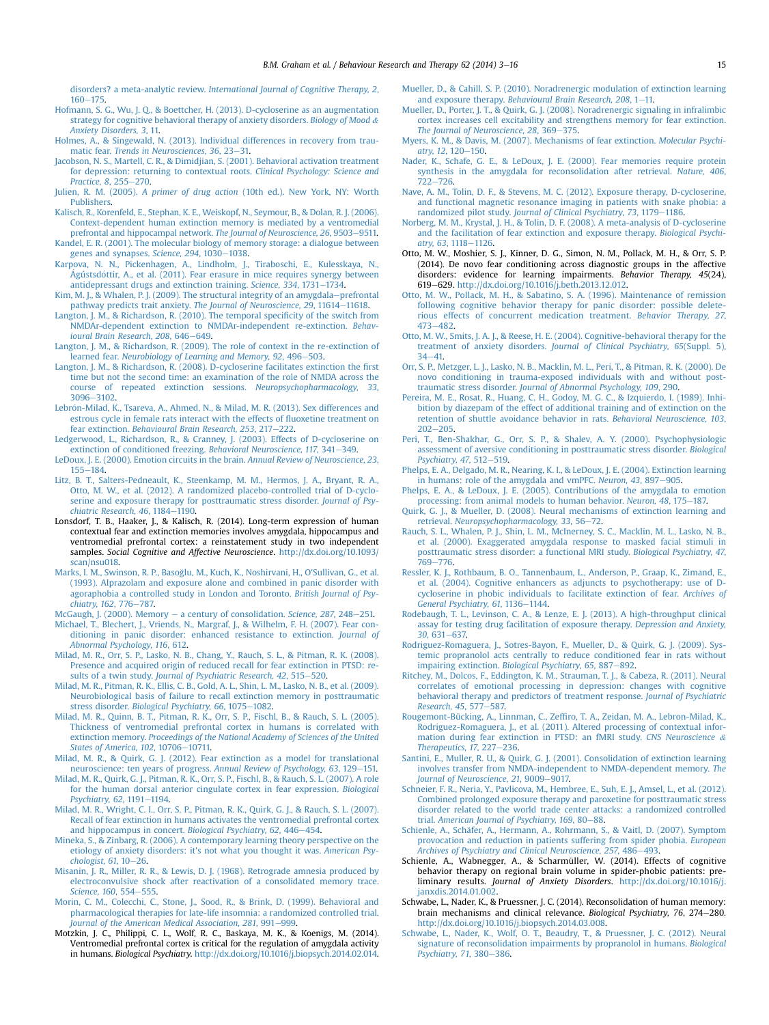<span id="page-12-0"></span>disorders? a meta-analytic review. [International Journal of Cognitive Therapy, 2](http://refhub.elsevier.com/S0005-7967(14)00115-6/sref43), [160](http://refhub.elsevier.com/S0005-7967(14)00115-6/sref43)-175

- [Hofmann, S. G., Wu, J. Q., & Boettcher, H. \(2013\). D-cycloserine as an augmentation](http://refhub.elsevier.com/S0005-7967(14)00115-6/sref44) [strategy for cognitive behavioral therapy of anxiety disorders.](http://refhub.elsevier.com/S0005-7967(14)00115-6/sref44) Biology of Mood & [Anxiety Disorders, 3](http://refhub.elsevier.com/S0005-7967(14)00115-6/sref44), 11.
- [Holmes, A., & Singewald, N. \(2013\). Individual differences in recovery from trau-](http://refhub.elsevier.com/S0005-7967(14)00115-6/sref45)matic fear. [Trends in Neurosciences, 36](http://refhub.elsevier.com/S0005-7967(14)00115-6/sref45), 23-[31.](http://refhub.elsevier.com/S0005-7967(14)00115-6/sref45)
- [Jacobson, N. S., Martell, C. R., & Dimidjian, S. \(2001\). Behavioral activation treatment](http://refhub.elsevier.com/S0005-7967(14)00115-6/sref46) [for depression: returning to contextual roots.](http://refhub.elsevier.com/S0005-7967(14)00115-6/sref46) Clinical Psychology: Science and [Practice, 8](http://refhub.elsevier.com/S0005-7967(14)00115-6/sref46), 255-[270.](http://refhub.elsevier.com/S0005-7967(14)00115-6/sref46)
- Julien, R. M. (2005). A primer of drug action [\(10th ed.\). New York, NY: Worth](http://refhub.elsevier.com/S0005-7967(14)00115-6/sref47) [Publishers.](http://refhub.elsevier.com/S0005-7967(14)00115-6/sref47)
- [Kalisch, R., Korenfeld, E., Stephan, K. E., Weiskopf, N., Seymour, B., & Dolan, R. J. \(2006\).](http://refhub.elsevier.com/S0005-7967(14)00115-6/sref49) [Context-dependent human extinction memory is mediated by a ventromedial](http://refhub.elsevier.com/S0005-7967(14)00115-6/sref49) [prefrontal and hippocampal network.](http://refhub.elsevier.com/S0005-7967(14)00115-6/sref49) The Journal of Neuroscience,  $26.9503-9511$ .
- [Kandel, E. R. \(2001\). The molecular biology of memory storage: a dialogue between](http://refhub.elsevier.com/S0005-7967(14)00115-6/sref50) [genes and synapses.](http://refhub.elsevier.com/S0005-7967(14)00115-6/sref50) Science, 294, 1030-[1038.](http://refhub.elsevier.com/S0005-7967(14)00115-6/sref50)
- [Karpova, N. N., Pickenhagen, A., Lindholm, J., Tiraboschi, E., Kulesskaya, N.,](http://refhub.elsevier.com/S0005-7967(14)00115-6/sref51) Á[gústsd](http://refhub.elsevier.com/S0005-7967(14)00115-6/sref51)óttir, A., et al. (2011). Fear erasure in mice requires synergy between [antidepressant drugs and extinction training.](http://refhub.elsevier.com/S0005-7967(14)00115-6/sref51) Science,  $334$ ,  $1731 - 1734$  $1731 - 1734$ .
- [Kim, M. J., & Whalen, P. J. \(2009\). The structural integrity of an amygdala](http://refhub.elsevier.com/S0005-7967(14)00115-6/sref52)-[prefrontal](http://refhub.elsevier.com/S0005-7967(14)00115-6/sref52) [pathway predicts trait anxiety.](http://refhub.elsevier.com/S0005-7967(14)00115-6/sref52) The Journal of Neuroscience, 29, 11614-[11618](http://refhub.elsevier.com/S0005-7967(14)00115-6/sref52).
- [Langton, J. M., & Richardson, R. \(2010\). The temporal speci](http://refhub.elsevier.com/S0005-7967(14)00115-6/sref53)ficity of the switch from [NMDAr-dependent extinction to NMDAr-independent re-extinction.](http://refhub.elsevier.com/S0005-7967(14)00115-6/sref53) Behav[ioural Brain Research, 208](http://refhub.elsevier.com/S0005-7967(14)00115-6/sref53), 646-[649](http://refhub.elsevier.com/S0005-7967(14)00115-6/sref53).
- [Langton, J. M., & Richardson, R. \(2009\). The role of context in the re-extinction of](http://refhub.elsevier.com/S0005-7967(14)00115-6/sref54) learned fear. [Neurobiology of Learning and Memory, 92](http://refhub.elsevier.com/S0005-7967(14)00115-6/sref54), 496-[503](http://refhub.elsevier.com/S0005-7967(14)00115-6/sref54).
- [Langton, J. M., & Richardson, R. \(2008\). D-cycloserine facilitates extinction the](http://refhub.elsevier.com/S0005-7967(14)00115-6/sref55) first [time but not the second time: an examination of the role of NMDA across the](http://refhub.elsevier.com/S0005-7967(14)00115-6/sref55) [course of repeated extinction sessions.](http://refhub.elsevier.com/S0005-7967(14)00115-6/sref55) Neuropsychopharmacology, 33, [3096](http://refhub.elsevier.com/S0005-7967(14)00115-6/sref55)-[3102](http://refhub.elsevier.com/S0005-7967(14)00115-6/sref55)
- Lebrón-Milad, K., Tsareva, A., Ahmed, N., & Milad, M. R. (2013). Sex differences and [estrous cycle in female rats interact with the effects of](http://refhub.elsevier.com/S0005-7967(14)00115-6/sref56) fluoxetine treatment on fear extinction. [Behavioural Brain Research, 253](http://refhub.elsevier.com/S0005-7967(14)00115-6/sref56), 217-[222.](http://refhub.elsevier.com/S0005-7967(14)00115-6/sref56)
- [Ledgerwood, L., Richardson, R., & Cranney, J. \(2003\). Effects of D-cycloserine on](http://refhub.elsevier.com/S0005-7967(14)00115-6/sref57) [extinction of conditioned freezing.](http://refhub.elsevier.com/S0005-7967(14)00115-6/sref57) Behavioral Neuroscience, 117, 341-[349](http://refhub.elsevier.com/S0005-7967(14)00115-6/sref57).
- [LeDoux, J. E. \(2000\). Emotion circuits in the brain.](http://refhub.elsevier.com/S0005-7967(14)00115-6/sref58) Annual Review of Neuroscience, 23, [155](http://refhub.elsevier.com/S0005-7967(14)00115-6/sref58)-[184.](http://refhub.elsevier.com/S0005-7967(14)00115-6/sref58)
- [Litz, B. T., Salters-Pedneault, K., Steenkamp, M. M., Hermos, J. A., Bryant, R. A.,](http://refhub.elsevier.com/S0005-7967(14)00115-6/sref59) [Otto, M. W., et al. \(2012\). A randomized placebo-controlled trial of D-cyclo](http://refhub.elsevier.com/S0005-7967(14)00115-6/sref59)[serine and exposure therapy for posttraumatic stress disorder.](http://refhub.elsevier.com/S0005-7967(14)00115-6/sref59) Journal of Psy[chiatric Research, 46](http://refhub.elsevier.com/S0005-7967(14)00115-6/sref59), 1184-[1190.](http://refhub.elsevier.com/S0005-7967(14)00115-6/sref59)
- Lonsdorf, T. B., Haaker, J., & Kalisch, R. (2014). Long-term expression of human contextual fear and extinction memories involves amygdala, hippocampus and ventromedial prefrontal cortex: a reinstatement study in two independent samples. Social Cognitive and Affective Neuroscience. [http://dx.doi.org/10.1093/](http://dx.doi.org/10.1093/scan/nsu018) [scan/nsu018.](http://dx.doi.org/10.1093/scan/nsu018)
- [Marks, I. M., Swinson, R. P., Baso](http://refhub.elsevier.com/S0005-7967(14)00115-6/sref61)g[lu, M., Kuch, K., Noshirvani, H., O'Sullivan, G., et al.](http://refhub.elsevier.com/S0005-7967(14)00115-6/sref61) [\(1993\). Alprazolam and exposure alone and combined in panic disorder with](http://refhub.elsevier.com/S0005-7967(14)00115-6/sref61) [agoraphobia a controlled study in London and Toronto.](http://refhub.elsevier.com/S0005-7967(14)00115-6/sref61) British Journal of Psy[chiatry, 162](http://refhub.elsevier.com/S0005-7967(14)00115-6/sref61), 776-[787.](http://refhub.elsevier.com/S0005-7967(14)00115-6/sref61)
- [McGaugh, J. \(2000\). Memory](http://refhub.elsevier.com/S0005-7967(14)00115-6/sref62)  $-$  [a century of consolidation.](http://refhub.elsevier.com/S0005-7967(14)00115-6/sref62) Science, 287, 248-[251.](http://refhub.elsevier.com/S0005-7967(14)00115-6/sref62)
- [Michael, T., Blechert, J., Vriends, N., Margraf, J., & Wilhelm, F. H. \(2007\). Fear con](http://refhub.elsevier.com/S0005-7967(14)00115-6/sref63)[ditioning in panic disorder: enhanced resistance to extinction.](http://refhub.elsevier.com/S0005-7967(14)00115-6/sref63) Journal of [Abnormal Psychology, 116](http://refhub.elsevier.com/S0005-7967(14)00115-6/sref63), 612.
- [Milad, M. R., Orr, S. P., Lasko, N. B., Chang, Y., Rauch, S. L., & Pitman, R. K. \(2008\).](http://refhub.elsevier.com/S0005-7967(14)00115-6/sref64) [Presence and acquired origin of reduced recall for fear extinction in PTSD: re-](http://refhub.elsevier.com/S0005-7967(14)00115-6/sref64)sults of a twin study. [Journal of Psychiatric Research, 42](http://refhub.elsevier.com/S0005-7967(14)00115-6/sref64), 515-[520](http://refhub.elsevier.com/S0005-7967(14)00115-6/sref64).
- [Milad, M. R., Pitman, R. K., Ellis, C. B., Gold, A. L., Shin, L. M., Lasko, N. B., et al. \(2009\).](http://refhub.elsevier.com/S0005-7967(14)00115-6/sref65) [Neurobiological basis of failure to recall extinction memory in posttraumatic](http://refhub.elsevier.com/S0005-7967(14)00115-6/sref65) stress disorder. [Biological Psychiatry, 66](http://refhub.elsevier.com/S0005-7967(14)00115-6/sref65), 1075-[1082.](http://refhub.elsevier.com/S0005-7967(14)00115-6/sref65)
- [Milad, M. R., Quinn, B. T., Pitman, R. K., Orr, S. P., Fischl, B., & Rauch, S. L. \(2005\).](http://refhub.elsevier.com/S0005-7967(14)00115-6/sref66) [Thickness of ventromedial prefrontal cortex in humans is correlated with](http://refhub.elsevier.com/S0005-7967(14)00115-6/sref66) extinction memory. [Proceedings of the National Academy of Sciences of the United](http://refhub.elsevier.com/S0005-7967(14)00115-6/sref66) [States of America, 102](http://refhub.elsevier.com/S0005-7967(14)00115-6/sref66), 10706-[10711.](http://refhub.elsevier.com/S0005-7967(14)00115-6/sref66)
- [Milad, M. R., & Quirk, G. J. \(2012\). Fear extinction as a model for translational](http://refhub.elsevier.com/S0005-7967(14)00115-6/sref67) [neuroscience: ten years of progress.](http://refhub.elsevier.com/S0005-7967(14)00115-6/sref67) Annual Review of Psychology, 63, 129-[151.](http://refhub.elsevier.com/S0005-7967(14)00115-6/sref67)
- [Milad, M. R., Quirk, G. J., Pitman, R. K., Orr, S. P., Fischl, B., & Rauch, S. L. \(2007\). A role](http://refhub.elsevier.com/S0005-7967(14)00115-6/sref68) [for the human dorsal anterior cingulate cortex in fear expression.](http://refhub.elsevier.com/S0005-7967(14)00115-6/sref68) Biological [Psychiatry, 62](http://refhub.elsevier.com/S0005-7967(14)00115-6/sref68), 1191-[1194.](http://refhub.elsevier.com/S0005-7967(14)00115-6/sref68)
- [Milad, M. R., Wright, C. I., Orr, S. P., Pitman, R. K., Quirk, G. J., & Rauch, S. L. \(2007\).](http://refhub.elsevier.com/S0005-7967(14)00115-6/sref69) [Recall of fear extinction in humans activates the ventromedial prefrontal cortex](http://refhub.elsevier.com/S0005-7967(14)00115-6/sref69) [and hippocampus in concert.](http://refhub.elsevier.com/S0005-7967(14)00115-6/sref69) Biological Psychiatry, 62, 446-[454.](http://refhub.elsevier.com/S0005-7967(14)00115-6/sref69)
- [Mineka, S., & Zinbarg, R. \(2006\). A contemporary learning theory perspective on the](http://refhub.elsevier.com/S0005-7967(14)00115-6/sref70) [etiology of anxiety disorders: it's not what you thought it was.](http://refhub.elsevier.com/S0005-7967(14)00115-6/sref70) American Psychologist,  $61, 10-26$  $61, 10-26$ .
- [Misanin, J. R., Miller, R. R., & Lewis, D. J. \(1968\). Retrograde amnesia produced by](http://refhub.elsevier.com/S0005-7967(14)00115-6/sref71) [electroconvulsive shock after reactivation of a consolidated memory trace.](http://refhub.elsevier.com/S0005-7967(14)00115-6/sref71) [Science, 160](http://refhub.elsevier.com/S0005-7967(14)00115-6/sref71), 554-[555.](http://refhub.elsevier.com/S0005-7967(14)00115-6/sref71)
- [Morin, C. M., Colecchi, C., Stone, J., Sood, R., & Brink, D. \(1999\). Behavioral and](http://refhub.elsevier.com/S0005-7967(14)00115-6/sref72) [pharmacological therapies for late-life insomnia: a randomized controlled trial.](http://refhub.elsevier.com/S0005-7967(14)00115-6/sref72) [Journal of the American Medical Association, 281](http://refhub.elsevier.com/S0005-7967(14)00115-6/sref72), 991–[999](http://refhub.elsevier.com/S0005-7967(14)00115-6/sref72).
- Motzkin, J. C., Philippi, C. L., Wolf, R. C., Baskaya, M. K., & Koenigs, M. (2014). Ventromedial prefrontal cortex is critical for the regulation of amygdala activity in humans. Biological Psychiatry. <http://dx.doi.org/10.1016/j.biopsych.2014.02.014>.
- [Mueller, D., & Cahill, S. P. \(2010\). Noradrenergic modulation of extinction learning](http://refhub.elsevier.com/S0005-7967(14)00115-6/sref74) and exposure therapy. Behavioural Brain Research,  $208$ ,  $1-11$ .
- [Mueller, D., Porter, J. T., & Quirk, G. J. \(2008\). Noradrenergic signaling in infralimbic](http://refhub.elsevier.com/S0005-7967(14)00115-6/sref75) [cortex increases cell excitability and strengthens memory for fear extinction.](http://refhub.elsevier.com/S0005-7967(14)00115-6/sref75) [The Journal of Neuroscience, 28](http://refhub.elsevier.com/S0005-7967(14)00115-6/sref75), 369-[375](http://refhub.elsevier.com/S0005-7967(14)00115-6/sref75).
- [Myers, K. M., & Davis, M. \(2007\). Mechanisms of fear extinction.](http://refhub.elsevier.com/S0005-7967(14)00115-6/sref76) Molecular Psychi $atry, 12, 120 - 150.$  $atry, 12, 120 - 150.$  $atry, 12, 120 - 150.$  $atry, 12, 120 - 150.$
- [Nader, K., Schafe, G. E., & LeDoux, J. E. \(2000\). Fear memories require protein](http://refhub.elsevier.com/S0005-7967(14)00115-6/sref77) [synthesis in the amygdala for reconsolidation after retrieval.](http://refhub.elsevier.com/S0005-7967(14)00115-6/sref77) Nature, 406,  $722 - 726$  $722 - 726$ .
- [Nave, A. M., Tolin, D. F., & Stevens, M. C. \(2012\). Exposure therapy, D-cycloserine,](http://refhub.elsevier.com/S0005-7967(14)00115-6/sref78) [and functional magnetic resonance imaging in patients with snake phobia: a](http://refhub.elsevier.com/S0005-7967(14)00115-6/sref78) randomized pilot study. [Journal of Clinical Psychiatry, 73](http://refhub.elsevier.com/S0005-7967(14)00115-6/sref78), 1179-[1186](http://refhub.elsevier.com/S0005-7967(14)00115-6/sref78).
- [Norberg, M. M., Krystal, J. H., & Tolin, D. F. \(2008\). A meta-analysis of D-cycloserine](http://refhub.elsevier.com/S0005-7967(14)00115-6/sref79) [and the facilitation of fear extinction and exposure therapy.](http://refhub.elsevier.com/S0005-7967(14)00115-6/sref79) Biological Psychi[atry, 63](http://refhub.elsevier.com/S0005-7967(14)00115-6/sref79), 1118-[1126.](http://refhub.elsevier.com/S0005-7967(14)00115-6/sref79)
- Otto, M. W., Moshier, S. J., Kinner, D. G., Simon, N. M., Pollack, M. H., & Orr, S. P. (2014). De novo fear conditioning across diagnostic groups in the affective disorders: evidence for learning impairments. Behavior Therapy, 45(24), 619e629. <http://dx.doi.org/10.1016/j.beth.2013.12.012>.
- [Otto, M. W., Pollack, M. H., & Sabatino, S. A. \(1996\). Maintenance of remission](http://refhub.elsevier.com/S0005-7967(14)00115-6/sref81) [following cognitive behavior therapy for panic disorder: possible delete](http://refhub.elsevier.com/S0005-7967(14)00115-6/sref81)[rious effects of concurrent medication treatment.](http://refhub.elsevier.com/S0005-7967(14)00115-6/sref81) Behavior Therapy, 27,  $473 - 482$  $473 - 482$  $473 - 482$
- [Otto, M. W., Smits, J. A. J., & Reese, H. E. \(2004\). Cognitive-behavioral therapy for the](http://refhub.elsevier.com/S0005-7967(14)00115-6/sref82) treatment of anxiety disorders. [Journal of Clinical Psychiatry, 65](http://refhub.elsevier.com/S0005-7967(14)00115-6/sref82)(Suppl. 5),  $34 - 41$  $34 - 41$
- [Orr, S. P., Metzger, L. J., Lasko, N. B., Macklin, M. L., Peri, T., & Pitman, R. K. \(2000\). De](http://refhub.elsevier.com/S0005-7967(14)00115-6/sref83) [novo conditioning in trauma-exposed individuals with and without post](http://refhub.elsevier.com/S0005-7967(14)00115-6/sref83)traumatic stress disorder. [Journal of Abnormal Psychology, 109](http://refhub.elsevier.com/S0005-7967(14)00115-6/sref83), 290.
- [Pereira, M. E., Rosat, R., Huang, C. H., Godoy, M. G. C., & Izquierdo, I. \(1989\). Inhi](http://refhub.elsevier.com/S0005-7967(14)00115-6/sref84)[bition by diazepam of the effect of additional training and of extinction on the](http://refhub.elsevier.com/S0005-7967(14)00115-6/sref84) [retention of shuttle avoidance behavior in rats.](http://refhub.elsevier.com/S0005-7967(14)00115-6/sref84) Behavioral Neuroscience, 103,  $202 - 205$  $202 - 205$  $202 - 205$
- [Peri, T., Ben-Shakhar, G., Orr, S. P., & Shalev, A. Y. \(2000\). Psychophysiologic](http://refhub.elsevier.com/S0005-7967(14)00115-6/sref85) [assessment of aversive conditioning in posttraumatic stress disorder.](http://refhub.elsevier.com/S0005-7967(14)00115-6/sref85) Biological [Psychiatry, 47](http://refhub.elsevier.com/S0005-7967(14)00115-6/sref85), 512-[519](http://refhub.elsevier.com/S0005-7967(14)00115-6/sref85).
- [Phelps, E. A., Delgado, M. R., Nearing, K. I., & LeDoux, J. E. \(2004\). Extinction learning](http://refhub.elsevier.com/S0005-7967(14)00115-6/sref86) [in humans: role of the amygdala and vmPFC.](http://refhub.elsevier.com/S0005-7967(14)00115-6/sref86) Neuron, 43, 897-[905](http://refhub.elsevier.com/S0005-7967(14)00115-6/sref86).
- [Phelps, E. A., & LeDoux, J. E. \(2005\). Contributions of the amygdala to emotion](http://refhub.elsevier.com/S0005-7967(14)00115-6/sref87) [processing: from animal models to human behavior.](http://refhub.elsevier.com/S0005-7967(14)00115-6/sref87) Neuron, 48, 175-[187.](http://refhub.elsevier.com/S0005-7967(14)00115-6/sref87)
- [Quirk, G. J., & Mueller, D. \(2008\). Neural mechanisms of extinction learning and](http://refhub.elsevier.com/S0005-7967(14)00115-6/sref88) retrieval. [Neuropsychopharmacology, 33](http://refhub.elsevier.com/S0005-7967(14)00115-6/sref88), 56-[72.](http://refhub.elsevier.com/S0005-7967(14)00115-6/sref88)
- [Rauch, S. L., Whalen, P. J., Shin, L. M., McInerney, S. C., Macklin, M. L., Lasko, N. B.,](http://refhub.elsevier.com/S0005-7967(14)00115-6/sref89) [et al. \(2000\). Exaggerated amygdala response to masked facial stimuli in](http://refhub.elsevier.com/S0005-7967(14)00115-6/sref89) [posttraumatic stress disorder: a functional MRI study.](http://refhub.elsevier.com/S0005-7967(14)00115-6/sref89) Biological Psychiatry, 47, [769](http://refhub.elsevier.com/S0005-7967(14)00115-6/sref89)-[776](http://refhub.elsevier.com/S0005-7967(14)00115-6/sref89).
- [Ressler, K. J., Rothbaum, B. O., Tannenbaum, L., Anderson, P., Graap, K., Zimand, E.,](http://refhub.elsevier.com/S0005-7967(14)00115-6/sref90) [et al. \(2004\). Cognitive enhancers as adjuncts to psychotherapy: use of D](http://refhub.elsevier.com/S0005-7967(14)00115-6/sref90)[cycloserine in phobic individuals to facilitate extinction of fear.](http://refhub.elsevier.com/S0005-7967(14)00115-6/sref90) Archives of [General Psychiatry, 61](http://refhub.elsevier.com/S0005-7967(14)00115-6/sref90), 1136-[1144](http://refhub.elsevier.com/S0005-7967(14)00115-6/sref90).
- [Rodebaugh, T. L., Levinson, C. A., & Lenze, E. J. \(2013\). A high-throughput clinical](http://refhub.elsevier.com/S0005-7967(14)00115-6/sref91) [assay for testing drug facilitation of exposure therapy.](http://refhub.elsevier.com/S0005-7967(14)00115-6/sref91) Depression and Anxiety, 30[, 631](http://refhub.elsevier.com/S0005-7967(14)00115-6/sref91)-[637.](http://refhub.elsevier.com/S0005-7967(14)00115-6/sref91)
- [Rodriguez-Romaguera, J., Sotres-Bayon, F., Mueller, D., & Quirk, G. J. \(2009\). Sys](http://refhub.elsevier.com/S0005-7967(14)00115-6/sref92)[temic propranolol acts centrally to reduce conditioned fear in rats without](http://refhub.elsevier.com/S0005-7967(14)00115-6/sref92) impairing extinction. [Biological Psychiatry, 65](http://refhub.elsevier.com/S0005-7967(14)00115-6/sref92), 887-[892.](http://refhub.elsevier.com/S0005-7967(14)00115-6/sref92)
- [Ritchey, M., Dolcos, F., Eddington, K. M., Strauman, T. J., & Cabeza, R. \(2011\). Neural](http://refhub.elsevier.com/S0005-7967(14)00115-6/sref93) [correlates of emotional processing in depression: changes with cognitive](http://refhub.elsevier.com/S0005-7967(14)00115-6/sref93) [behavioral therapy and predictors of treatment response.](http://refhub.elsevier.com/S0005-7967(14)00115-6/sref93) Journal of Psychiatric [Research, 45](http://refhub.elsevier.com/S0005-7967(14)00115-6/sref93), 577-[587.](http://refhub.elsevier.com/S0005-7967(14)00115-6/sref93)
- [Rougemont-Bücking, A., Linnman, C., Zef](http://refhub.elsevier.com/S0005-7967(14)00115-6/sref94)firo, T. A., Zeidan, M. A., Lebron-Milad, K., [Rodriguez-Romaguera, J., et al. \(2011\). Altered processing of contextual infor](http://refhub.elsevier.com/S0005-7967(14)00115-6/sref94)[mation during fear extinction in PTSD: an fMRI study.](http://refhub.elsevier.com/S0005-7967(14)00115-6/sref94) CNS Neuroscience & Therapeutics,  $17, 227-236$ .
- [Santini, E., Muller, R. U., & Quirk, G. J. \(2001\). Consolidation of extinction learning](http://refhub.elsevier.com/S0005-7967(14)00115-6/sref95) [involves transfer from NMDA-independent to NMDA-dependent memory.](http://refhub.elsevier.com/S0005-7967(14)00115-6/sref95) The [Journal of Neuroscience, 21](http://refhub.elsevier.com/S0005-7967(14)00115-6/sref95), 9009-[9017.](http://refhub.elsevier.com/S0005-7967(14)00115-6/sref95)
- [Schneier, F. R., Neria, Y., Pavlicova, M., Hembree, E., Suh, E. J., Amsel, L., et al. \(2012\).](http://refhub.elsevier.com/S0005-7967(14)00115-6/sref96) [Combined prolonged exposure therapy and paroxetine for posttraumatic stress](http://refhub.elsevier.com/S0005-7967(14)00115-6/sref96) [disorder related to the world trade center attacks: a randomized controlled](http://refhub.elsevier.com/S0005-7967(14)00115-6/sref96) trial. [American Journal of Psychiatry, 169](http://refhub.elsevier.com/S0005-7967(14)00115-6/sref96), 80-[88.](http://refhub.elsevier.com/S0005-7967(14)00115-6/sref96)
- [Schienle, A., Sch](http://refhub.elsevier.com/S0005-7967(14)00115-6/sref97)äfer, A., Hermann, A., Rohrmann, S., & Vaitl, D. (2007). Symptom [provocation and reduction in patients suffering from spider phobia.](http://refhub.elsevier.com/S0005-7967(14)00115-6/sref97) European [Archives of Psychiatry and Clinical Neuroscience, 257](http://refhub.elsevier.com/S0005-7967(14)00115-6/sref97), 486-[493](http://refhub.elsevier.com/S0005-7967(14)00115-6/sref97).
- Schienle, A., Wabnegger, A., & Scharmüller, W. (2014). Effects of cognitive behavior therapy on regional brain volume in spider-phobic patients: preliminary results. Journal of Anxiety Disorders. [http://dx.doi.org/10.1016/j.](http://dx.doi.org/10.1016/j.janxdis.2014.01.002) [janxdis.2014.01.002.](http://dx.doi.org/10.1016/j.janxdis.2014.01.002)
- Schwabe, L., Nader, K., & Pruessner, J. C. (2014). Reconsolidation of human memory: brain mechanisms and clinical relevance. Biological Psychiatry, 76, 274-280. [http://dx.doi.org/10.1016/j.biopsych.2014.03.008.](http://dx.doi.org/10.1016/j.biopsych.2014.03.008)
- [Schwabe, L., Nader, K., Wolf, O. T., Beaudry, T., & Pruessner, J. C. \(2012\). Neural](http://refhub.elsevier.com/S0005-7967(14)00115-6/sref100) [signature of reconsolidation impairments by propranolol in humans.](http://refhub.elsevier.com/S0005-7967(14)00115-6/sref100) Biological [Psychiatry, 71](http://refhub.elsevier.com/S0005-7967(14)00115-6/sref100), 380-[386.](http://refhub.elsevier.com/S0005-7967(14)00115-6/sref100)